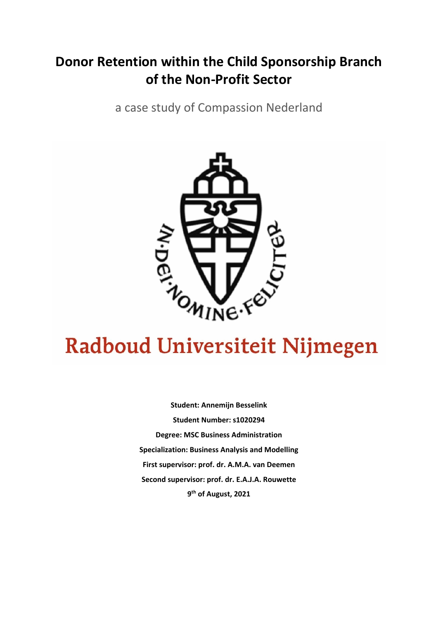# **Donor Retention within the Child Sponsorship Branch of the Non-Profit Sector**

a case study of Compassion Nederland



# Radboud Universiteit Nijmegen

**Student: Annemijn Besselink Student Number: s1020294 Degree: MSC Business Administration Specialization: Business Analysis and Modelling First supervisor: prof. dr. A.M.A. van Deemen Second supervisor: prof. dr. E.A.J.A. Rouwette 9th of August, 2021**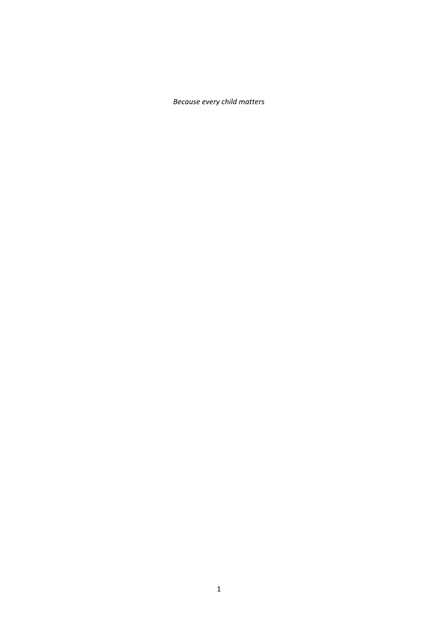*Because every child matters*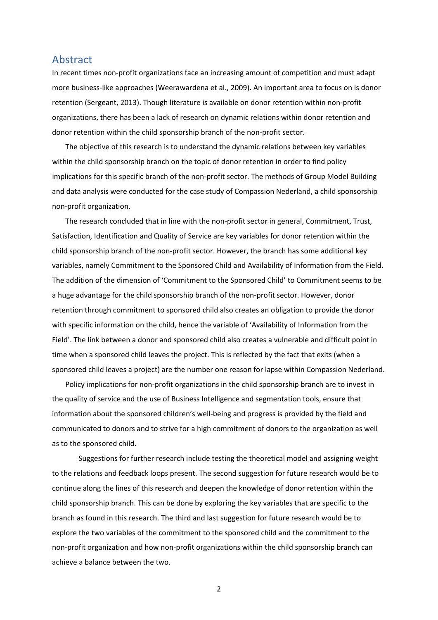# Abstract

In recent times non-profit organizations face an increasing amount of competition and must adapt more business-like approaches (Weerawardena et al., 2009). An important area to focus on is donor retention (Sergeant, 2013). Though literature is available on donor retention within non-profit organizations, there has been a lack of research on dynamic relations within donor retention and donor retention within the child sponsorship branch of the non-profit sector.

The objective of this research is to understand the dynamic relations between key variables within the child sponsorship branch on the topic of donor retention in order to find policy implications for this specific branch of the non-profit sector. The methods of Group Model Building and data analysis were conducted for the case study of Compassion Nederland, a child sponsorship non-profit organization.

The research concluded that in line with the non-profit sector in general, Commitment, Trust, Satisfaction, Identification and Quality of Service are key variables for donor retention within the child sponsorship branch of the non-profit sector. However, the branch has some additional key variables, namely Commitment to the Sponsored Child and Availability of Information from the Field. The addition of the dimension of 'Commitment to the Sponsored Child' to Commitment seems to be a huge advantage for the child sponsorship branch of the non-profit sector. However, donor retention through commitment to sponsored child also creates an obligation to provide the donor with specific information on the child, hence the variable of 'Availability of Information from the Field'. The link between a donor and sponsored child also creates a vulnerable and difficult point in time when a sponsored child leaves the project. This is reflected by the fact that exits (when a sponsored child leaves a project) are the number one reason for lapse within Compassion Nederland.

Policy implications for non-profit organizations in the child sponsorship branch are to invest in the quality of service and the use of Business Intelligence and segmentation tools, ensure that information about the sponsored children's well-being and progress is provided by the field and communicated to donors and to strive for a high commitment of donors to the organization as well as to the sponsored child.

Suggestions for further research include testing the theoretical model and assigning weight to the relations and feedback loops present. The second suggestion for future research would be to continue along the lines of this research and deepen the knowledge of donor retention within the child sponsorship branch. This can be done by exploring the key variables that are specific to the branch as found in this research. The third and last suggestion for future research would be to explore the two variables of the commitment to the sponsored child and the commitment to the non-profit organization and how non-profit organizations within the child sponsorship branch can achieve a balance between the two.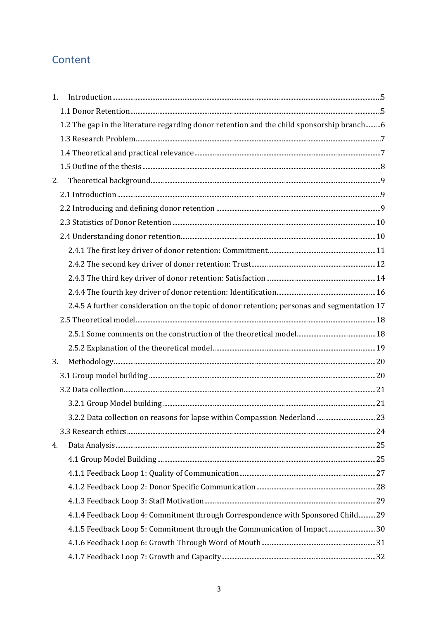# Content

| 1. |                                                                                             |  |
|----|---------------------------------------------------------------------------------------------|--|
|    |                                                                                             |  |
|    | 1.2 The gap in the literature regarding donor retention and the child sponsorship branch6   |  |
|    |                                                                                             |  |
|    |                                                                                             |  |
|    |                                                                                             |  |
| 2. |                                                                                             |  |
|    |                                                                                             |  |
|    |                                                                                             |  |
|    |                                                                                             |  |
|    |                                                                                             |  |
|    |                                                                                             |  |
|    |                                                                                             |  |
|    |                                                                                             |  |
|    |                                                                                             |  |
|    | 2.4.5 A further consideration on the topic of donor retention; personas and segmentation 17 |  |
|    |                                                                                             |  |
|    |                                                                                             |  |
|    |                                                                                             |  |
| 3. |                                                                                             |  |
|    |                                                                                             |  |
|    |                                                                                             |  |
|    |                                                                                             |  |
|    |                                                                                             |  |
|    |                                                                                             |  |
| 4. |                                                                                             |  |
|    |                                                                                             |  |
|    |                                                                                             |  |
|    |                                                                                             |  |
|    |                                                                                             |  |
|    | 4.1.4 Feedback Loop 4: Commitment through Correspondence with Sponsored Child 29            |  |
|    | 4.1.5 Feedback Loop 5: Commitment through the Communication of Impact 30                    |  |
|    |                                                                                             |  |
|    |                                                                                             |  |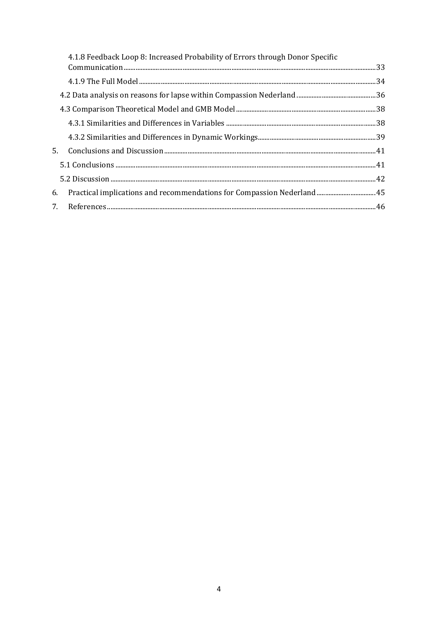| 4.1.8 Feedback Loop 8: Increased Probability of Errors through Donor Specific |  |
|-------------------------------------------------------------------------------|--|
|                                                                               |  |
|                                                                               |  |
|                                                                               |  |
|                                                                               |  |
|                                                                               |  |
|                                                                               |  |
|                                                                               |  |
|                                                                               |  |
|                                                                               |  |
| 6. Practical implications and recommendations for Compassion Nederland 45     |  |
|                                                                               |  |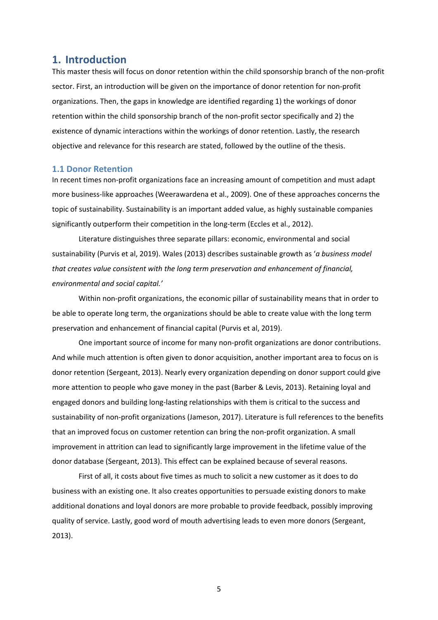# <span id="page-5-0"></span>**1. Introduction**

This master thesis will focus on donor retention within the child sponsorship branch of the non-profit sector. First, an introduction will be given on the importance of donor retention for non-profit organizations. Then, the gaps in knowledge are identified regarding 1) the workings of donor retention within the child sponsorship branch of the non-profit sector specifically and 2) the existence of dynamic interactions within the workings of donor retention. Lastly, the research objective and relevance for this research are stated, followed by the outline of the thesis.

#### <span id="page-5-1"></span>**1.1 Donor Retention**

In recent times non-profit organizations face an increasing amount of competition and must adapt more business-like approaches (Weerawardena et al., 2009). One of these approaches concerns the topic of sustainability. Sustainability is an important added value, as highly sustainable companies significantly outperform their competition in the long-term (Eccles et al., 2012).

Literature distinguishes three separate pillars: economic, environmental and social sustainability (Purvis et al, 2019). Wales (2013) describes sustainable growth as '*a business model that creates value consistent with the long term preservation and enhancement of financial, environmental and social capital.'*

Within non-profit organizations, the economic pillar of sustainability means that in order to be able to operate long term, the organizations should be able to create value with the long term preservation and enhancement of financial capital (Purvis et al, 2019).

One important source of income for many non-profit organizations are donor contributions. And while much attention is often given to donor acquisition, another important area to focus on is donor retention (Sergeant, 2013). Nearly every organization depending on donor support could give more attention to people who gave money in the past (Barber & Levis, 2013). Retaining loyal and engaged donors and building long-lasting relationships with them is critical to the success and sustainability of non-profit organizations (Jameson, 2017). Literature is full references to the benefits that an improved focus on customer retention can bring the non-profit organization. A small improvement in attrition can lead to significantly large improvement in the lifetime value of the donor database (Sergeant, 2013). This effect can be explained because of several reasons.

First of all, it costs about five times as much to solicit a new customer as it does to do business with an existing one. It also creates opportunities to persuade existing donors to make additional donations and loyal donors are more probable to provide feedback, possibly improving quality of service. Lastly, good word of mouth advertising leads to even more donors (Sergeant, 2013).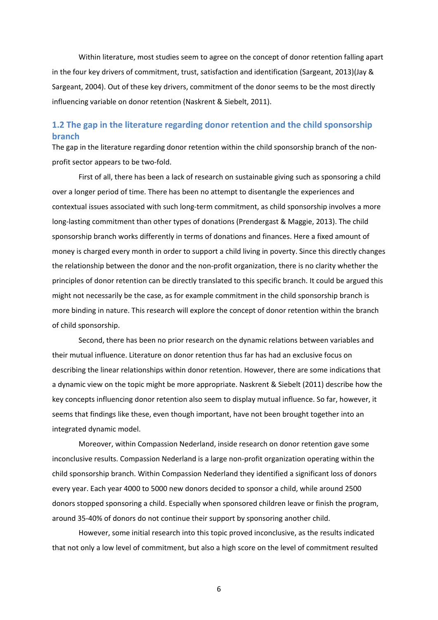Within literature, most studies seem to agree on the concept of donor retention falling apart in the four key drivers of commitment, trust, satisfaction and identification (Sargeant, 2013)(Jay & Sargeant, 2004). Out of these key drivers, commitment of the donor seems to be the most directly influencing variable on donor retention (Naskrent & Siebelt, 2011).

# <span id="page-6-0"></span>**1.2 The gap in the literature regarding donor retention and the child sponsorship branch**

The gap in the literature regarding donor retention within the child sponsorship branch of the nonprofit sector appears to be two-fold.

First of all, there has been a lack of research on sustainable giving such as sponsoring a child over a longer period of time. There has been no attempt to disentangle the experiences and contextual issues associated with such long-term commitment, as child sponsorship involves a more long-lasting commitment than other types of donations (Prendergast & Maggie, 2013). The child sponsorship branch works differently in terms of donations and finances. Here a fixed amount of money is charged every month in order to support a child living in poverty. Since this directly changes the relationship between the donor and the non-profit organization, there is no clarity whether the principles of donor retention can be directly translated to this specific branch. It could be argued this might not necessarily be the case, as for example commitment in the child sponsorship branch is more binding in nature. This research will explore the concept of donor retention within the branch of child sponsorship.

Second, there has been no prior research on the dynamic relations between variables and their mutual influence. Literature on donor retention thus far has had an exclusive focus on describing the linear relationships within donor retention. However, there are some indications that a dynamic view on the topic might be more appropriate. Naskrent & Siebelt (2011) describe how the key concepts influencing donor retention also seem to display mutual influence. So far, however, it seems that findings like these, even though important, have not been brought together into an integrated dynamic model.

Moreover, within Compassion Nederland, inside research on donor retention gave some inconclusive results. Compassion Nederland is a large non-profit organization operating within the child sponsorship branch. Within Compassion Nederland they identified a significant loss of donors every year. Each year 4000 to 5000 new donors decided to sponsor a child, while around 2500 donors stopped sponsoring a child. Especially when sponsored children leave or finish the program, around 35-40% of donors do not continue their support by sponsoring another child.

However, some initial research into this topic proved inconclusive, as the results indicated that not only a low level of commitment, but also a high score on the level of commitment resulted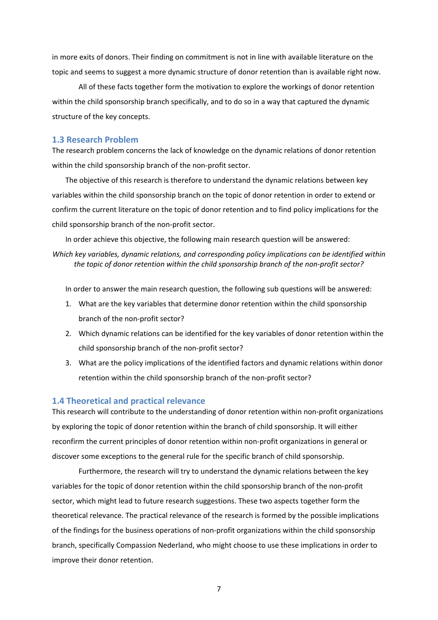in more exits of donors. Their finding on commitment is not in line with available literature on the topic and seems to suggest a more dynamic structure of donor retention than is available right now.

All of these facts together form the motivation to explore the workings of donor retention within the child sponsorship branch specifically, and to do so in a way that captured the dynamic structure of the key concepts.

# <span id="page-7-0"></span>**1.3 Research Problem**

The research problem concerns the lack of knowledge on the dynamic relations of donor retention within the child sponsorship branch of the non-profit sector.

The objective of this research is therefore to understand the dynamic relations between key variables within the child sponsorship branch on the topic of donor retention in order to extend or confirm the current literature on the topic of donor retention and to find policy implications for the child sponsorship branch of the non-profit sector.

In order achieve this objective, the following main research question will be answered:

*Which key variables, dynamic relations, and corresponding policy implications can be identified within the topic of donor retention within the child sponsorship branch of the non-profit sector?*

In order to answer the main research question, the following sub questions will be answered:

- 1. What are the key variables that determine donor retention within the child sponsorship branch of the non-profit sector?
- 2. Which dynamic relations can be identified for the key variables of donor retention within the child sponsorship branch of the non-profit sector?
- 3. What are the policy implications of the identified factors and dynamic relations within donor retention within the child sponsorship branch of the non-profit sector?

# <span id="page-7-1"></span>**1.4 Theoretical and practical relevance**

This research will contribute to the understanding of donor retention within non-profit organizations by exploring the topic of donor retention within the branch of child sponsorship. It will either reconfirm the current principles of donor retention within non-profit organizations in general or discover some exceptions to the general rule for the specific branch of child sponsorship.

Furthermore, the research will try to understand the dynamic relations between the key variables for the topic of donor retention within the child sponsorship branch of the non-profit sector, which might lead to future research suggestions. These two aspects together form the theoretical relevance. The practical relevance of the research is formed by the possible implications of the findings for the business operations of non-profit organizations within the child sponsorship branch, specifically Compassion Nederland, who might choose to use these implications in order to improve their donor retention.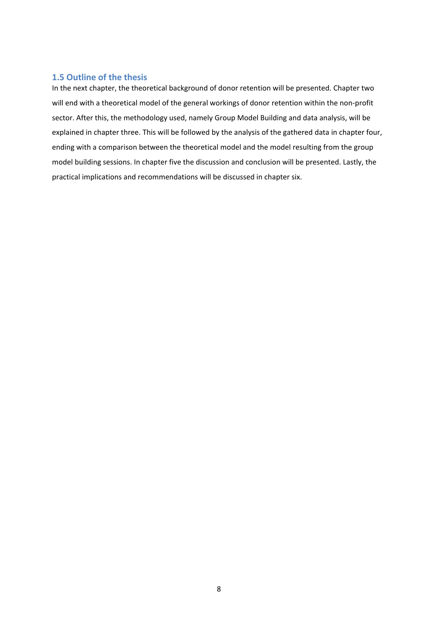# <span id="page-8-0"></span>**1.5 Outline of the thesis**

In the next chapter, the theoretical background of donor retention will be presented. Chapter two will end with a theoretical model of the general workings of donor retention within the non-profit sector. After this, the methodology used, namely Group Model Building and data analysis, will be explained in chapter three. This will be followed by the analysis of the gathered data in chapter four, ending with a comparison between the theoretical model and the model resulting from the group model building sessions. In chapter five the discussion and conclusion will be presented. Lastly, the practical implications and recommendations will be discussed in chapter six.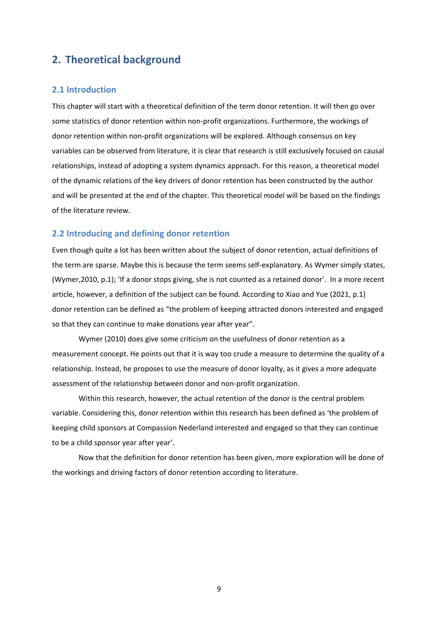# <span id="page-9-0"></span>**2. Theoretical background**

# <span id="page-9-1"></span>**2.1 Introduction**

This chapter will start with a theoretical definition of the term donor retention. It will then go over some statistics of donor retention within non-profit organizations. Furthermore, the workings of donor retention within non-profit organizations will be explored. Although consensus on key variables can be observed from literature, it is clear that research is still exclusively focused on causal relationships, instead of adopting a system dynamics approach. For this reason, a theoretical model of the dynamic relations of the key drivers of donor retention has been constructed by the author and will be presented at the end of the chapter. This theoretical model will be based on the findings of the literature review.

# <span id="page-9-2"></span>**2.2 Introducing and defining donor retention**

Even though quite a lot has been written about the subject of donor retention, actual definitions of the term are sparse. Maybe this is because the term seems self-explanatory. As Wymer simply states, (Wymer,2010, p.1); 'If a donor stops giving, she is not counted as a retained donor'. In a more recent article, however, a definition of the subject can be found. According to Xiao and Yue (2021, p.1) donor retention can be defined as "the problem of keeping attracted donors interested and engaged so that they can continue to make donations year after year".

Wymer (2010) does give some criticism on the usefulness of donor retention as a measurement concept. He points out that it is way too crude a measure to determine the quality of a relationship. Instead, he proposes to use the measure of donor loyalty, as it gives a more adequate assessment of the relationship between donor and non-profit organization.

Within this research, however, the actual retention of the donor is the central problem variable. Considering this, donor retention within this research has been defined as 'the problem of keeping child sponsors at Compassion Nederland interested and engaged so that they can continue to be a child sponsor year after year'.

Now that the definition for donor retention has been given, more exploration will be done of the workings and driving factors of donor retention according to literature.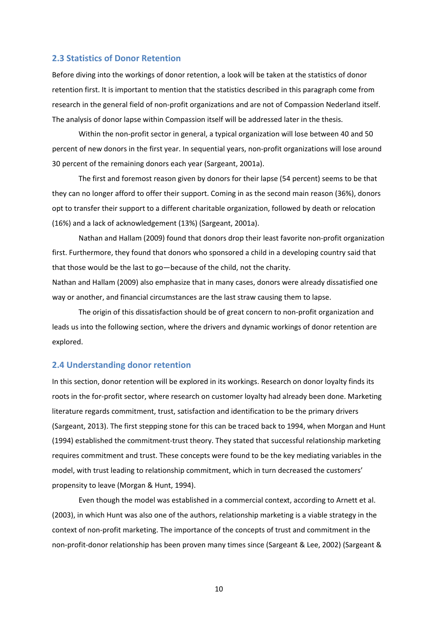# <span id="page-10-0"></span>**2.3 Statistics of Donor Retention**

Before diving into the workings of donor retention, a look will be taken at the statistics of donor retention first. It is important to mention that the statistics described in this paragraph come from research in the general field of non-profit organizations and are not of Compassion Nederland itself. The analysis of donor lapse within Compassion itself will be addressed later in the thesis.

Within the non-profit sector in general, a typical organization will lose between 40 and 50 percent of new donors in the first year. In sequential years, non-profit organizations will lose around 30 percent of the remaining donors each year (Sargeant, 2001a).

The first and foremost reason given by donors for their lapse (54 percent) seems to be that they can no longer afford to offer their support. Coming in as the second main reason (36%), donors opt to transfer their support to a different charitable organization, followed by death or relocation (16%) and a lack of acknowledgement (13%) (Sargeant, 2001a).

Nathan and Hallam (2009) found that donors drop their least favorite non-profit organization first. Furthermore, they found that donors who sponsored a child in a developing country said that that those would be the last to go—because of the child, not the charity.

Nathan and Hallam (2009) also emphasize that in many cases, donors were already dissatisfied one way or another, and financial circumstances are the last straw causing them to lapse.

The origin of this dissatisfaction should be of great concern to non-profit organization and leads us into the following section, where the drivers and dynamic workings of donor retention are explored.

# <span id="page-10-1"></span>**2.4 Understanding donor retention**

In this section, donor retention will be explored in its workings. Research on donor loyalty finds its roots in the for-profit sector, where research on customer loyalty had already been done. Marketing literature regards commitment, trust, satisfaction and identification to be the primary drivers (Sargeant, 2013). The first stepping stone for this can be traced back to 1994, when Morgan and Hunt (1994) established the commitment-trust theory. They stated that successful relationship marketing requires commitment and trust. These concepts were found to be the key mediating variables in the model, with trust leading to relationship commitment, which in turn decreased the customers' propensity to leave (Morgan & Hunt, 1994).

Even though the model was established in a commercial context, according to Arnett et al. (2003), in which Hunt was also one of the authors, relationship marketing is a viable strategy in the context of non-profit marketing. The importance of the concepts of trust and commitment in the non-profit-donor relationship has been proven many times since (Sargeant & Lee, 2002) (Sargeant &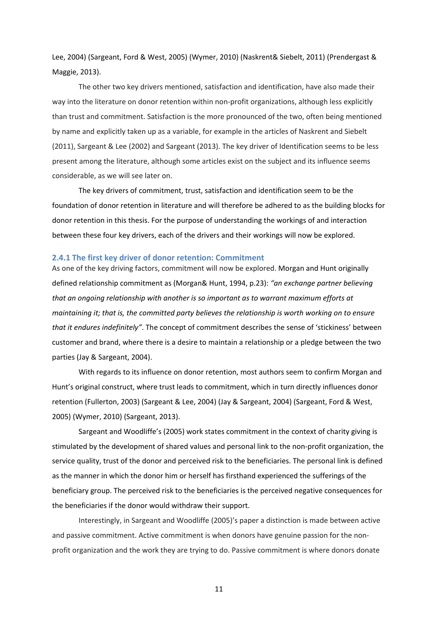Lee, 2004) (Sargeant, Ford & West, 2005) (Wymer, 2010) (Naskrent& Siebelt, 2011) (Prendergast & Maggie, 2013).

The other two key drivers mentioned, satisfaction and identification, have also made their way into the literature on donor retention within non-profit organizations, although less explicitly than trust and commitment. Satisfaction is the more pronounced of the two, often being mentioned by name and explicitly taken up as a variable, for example in the articles of Naskrent and Siebelt (2011), Sargeant & Lee (2002) and Sargeant (2013). The key driver of Identification seems to be less present among the literature, although some articles exist on the subject and its influence seems considerable, as we will see later on.

The key drivers of commitment, trust, satisfaction and identification seem to be the foundation of donor retention in literature and will therefore be adhered to as the building blocks for donor retention in this thesis. For the purpose of understanding the workings of and interaction between these four key drivers, each of the drivers and their workings will now be explored.

#### <span id="page-11-0"></span>**2.4.1 The first key driver of donor retention: Commitment**

As one of the key driving factors, commitment will now be explored. Morgan and Hunt originally defined relationship commitment as (Morgan& Hunt, 1994, p.23): *"an exchange partner believing that an ongoing relationship with another is so important as to warrant maximum efforts at maintaining it; that is, the committed party believes the relationship is worth working on to ensure that it endures indefinitely"*. The concept of commitment describes the sense of 'stickiness' between customer and brand, where there is a desire to maintain a relationship or a pledge between the two parties (Jay & Sargeant, 2004).

With regards to its influence on donor retention, most authors seem to confirm Morgan and Hunt's original construct, where trust leads to commitment, which in turn directly influences donor retention (Fullerton, 2003) (Sargeant & Lee, 2004) (Jay & Sargeant, 2004) (Sargeant, Ford & West, 2005) (Wymer, 2010) (Sargeant, 2013).

Sargeant and Woodliffe's (2005) work states commitment in the context of charity giving is stimulated by the development of shared values and personal link to the non-profit organization, the service quality, trust of the donor and perceived risk to the beneficiaries. The personal link is defined as the manner in which the donor him or herself has firsthand experienced the sufferings of the beneficiary group. The perceived risk to the beneficiaries is the perceived negative consequences for the beneficiaries if the donor would withdraw their support.

Interestingly, in Sargeant and Woodliffe (2005)'s paper a distinction is made between active and passive commitment. Active commitment is when donors have genuine passion for the nonprofit organization and the work they are trying to do. Passive commitment is where donors donate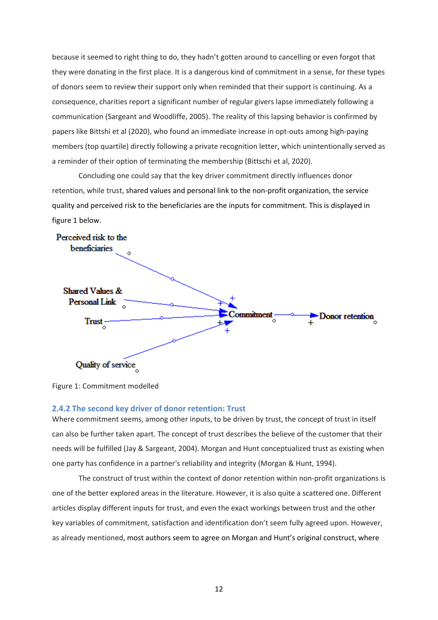because it seemed to right thing to do, they hadn't gotten around to cancelling or even forgot that they were donating in the first place. It is a dangerous kind of commitment in a sense, for these types of donors seem to review their support only when reminded that their support is continuing. As a consequence, charities report a significant number of regular givers lapse immediately following a communication (Sargeant and Woodliffe, 2005). The reality of this lapsing behavior is confirmed by papers like Bittshi et al (2020), who found an immediate increase in opt-outs among high-paying members (top quartile) directly following a private recognition letter, which unintentionally served as a reminder of their option of terminating the membership (Bittschi et al, 2020).

Concluding one could say that the key driver commitment directly influences donor retention, while trust, shared values and personal link to the non-profit organization, the service quality and perceived risk to the beneficiaries are the inputs for commitment. This is displayed in figure 1 below.



Figure 1: Commitment modelled

# <span id="page-12-0"></span>**2.4.2 The second key driver of donor retention: Trust**

Where commitment seems, among other inputs, to be driven by trust, the concept of trust in itself can also be further taken apart. The concept of trust describes the believe of the customer that their needs will be fulfilled (Jay & Sargeant, 2004). Morgan and Hunt conceptualized trust as existing when one party has confidence in a partner's reliability and integrity (Morgan & Hunt, 1994).

The construct of trust within the context of donor retention within non-profit organizations is one of the better explored areas in the literature. However, it is also quite a scattered one. Different articles display different inputs for trust, and even the exact workings between trust and the other key variables of commitment, satisfaction and identification don't seem fully agreed upon. However, as already mentioned, most authors seem to agree on Morgan and Hunt's original construct, where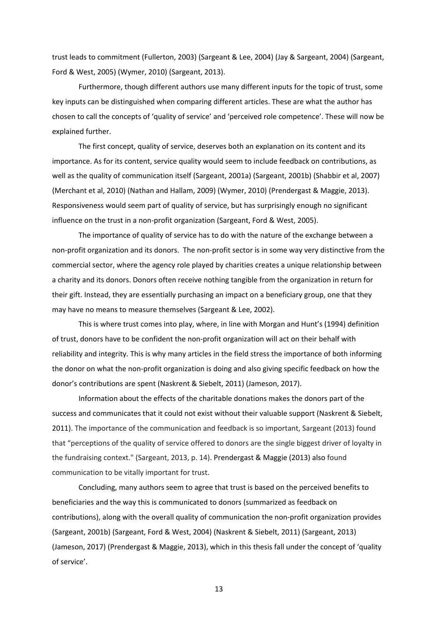trust leads to commitment (Fullerton, 2003) (Sargeant & Lee, 2004) (Jay & Sargeant, 2004) (Sargeant, Ford & West, 2005) (Wymer, 2010) (Sargeant, 2013).

Furthermore, though different authors use many different inputs for the topic of trust, some key inputs can be distinguished when comparing different articles. These are what the author has chosen to call the concepts of 'quality of service' and 'perceived role competence'. These will now be explained further.

The first concept, quality of service, deserves both an explanation on its content and its importance. As for its content, service quality would seem to include feedback on contributions, as well as the quality of communication itself (Sargeant, 2001a) (Sargeant, 2001b) (Shabbir et al, 2007) (Merchant et al, 2010) (Nathan and Hallam, 2009) (Wymer, 2010) (Prendergast & Maggie, 2013). Responsiveness would seem part of quality of service, but has surprisingly enough no significant influence on the trust in a non-profit organization (Sargeant, Ford & West, 2005).

The importance of quality of service has to do with the nature of the exchange between a non-profit organization and its donors. The non-profit sector is in some way very distinctive from the commercial sector, where the agency role played by charities creates a unique relationship between a charity and its donors. Donors often receive nothing tangible from the organization in return for their gift. Instead, they are essentially purchasing an impact on a beneficiary group, one that they may have no means to measure themselves (Sargeant & Lee, 2002).

This is where trust comes into play, where, in line with Morgan and Hunt's (1994) definition of trust, donors have to be confident the non-profit organization will act on their behalf with reliability and integrity. This is why many articles in the field stress the importance of both informing the donor on what the non-profit organization is doing and also giving specific feedback on how the donor's contributions are spent (Naskrent & Siebelt, 2011) (Jameson, 2017).

Information about the effects of the charitable donations makes the donors part of the success and communicates that it could not exist without their valuable support (Naskrent & Siebelt, 2011). The importance of the communication and feedback is so important, Sargeant (2013) found that "perceptions of the quality of service offered to donors are the single biggest driver of loyalty in the fundraising context." (Sargeant, 2013, p. 14). Prendergast & Maggie (2013) also found communication to be vitally important for trust.

Concluding, many authors seem to agree that trust is based on the perceived benefits to beneficiaries and the way this is communicated to donors (summarized as feedback on contributions), along with the overall quality of communication the non-profit organization provides (Sargeant, 2001b) (Sargeant, Ford & West, 2004) (Naskrent & Siebelt, 2011) (Sargeant, 2013) (Jameson, 2017) (Prendergast & Maggie, 2013), which in this thesis fall under the concept of 'quality of service'.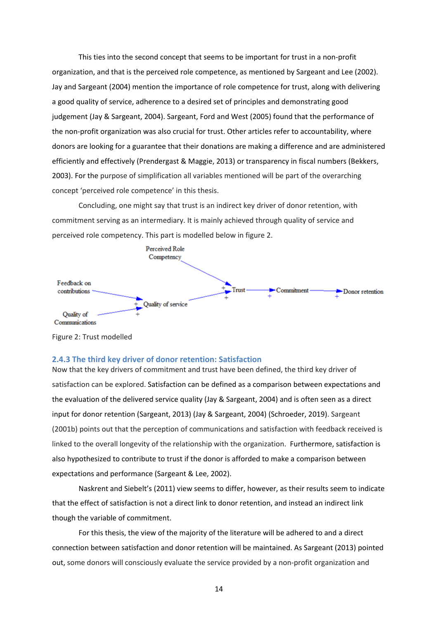This ties into the second concept that seems to be important for trust in a non-profit organization, and that is the perceived role competence, as mentioned by Sargeant and Lee (2002). Jay and Sargeant (2004) mention the importance of role competence for trust, along with delivering a good quality of service, adherence to a desired set of principles and demonstrating good judgement (Jay & Sargeant, 2004). Sargeant, Ford and West (2005) found that the performance of the non-profit organization was also crucial for trust. Other articles refer to accountability, where donors are looking for a guarantee that their donations are making a difference and are administered efficiently and effectively (Prendergast & Maggie, 2013) or transparency in fiscal numbers (Bekkers, 2003). For the purpose of simplification all variables mentioned will be part of the overarching concept 'perceived role competence' in this thesis.

Concluding, one might say that trust is an indirect key driver of donor retention, with commitment serving as an intermediary. It is mainly achieved through quality of service and perceived role competency. This part is modelled below in figure 2.



Figure 2: Trust modelled

# <span id="page-14-0"></span>**2.4.3 The third key driver of donor retention: Satisfaction**

Now that the key drivers of commitment and trust have been defined, the third key driver of satisfaction can be explored. Satisfaction can be defined as a comparison between expectations and the evaluation of the delivered service quality (Jay & Sargeant, 2004) and is often seen as a direct input for donor retention (Sargeant, 2013) (Jay & Sargeant, 2004) (Schroeder, 2019). Sargeant (2001b) points out that the perception of communications and satisfaction with feedback received is linked to the overall longevity of the relationship with the organization. Furthermore, satisfaction is also hypothesized to contribute to trust if the donor is afforded to make a comparison between expectations and performance (Sargeant & Lee, 2002).

Naskrent and Siebelt's (2011) view seems to differ, however, as their results seem to indicate that the effect of satisfaction is not a direct link to donor retention, and instead an indirect link though the variable of commitment.

For this thesis, the view of the majority of the literature will be adhered to and a direct connection between satisfaction and donor retention will be maintained. As Sargeant (2013) pointed out, some donors will consciously evaluate the service provided by a non-profit organization and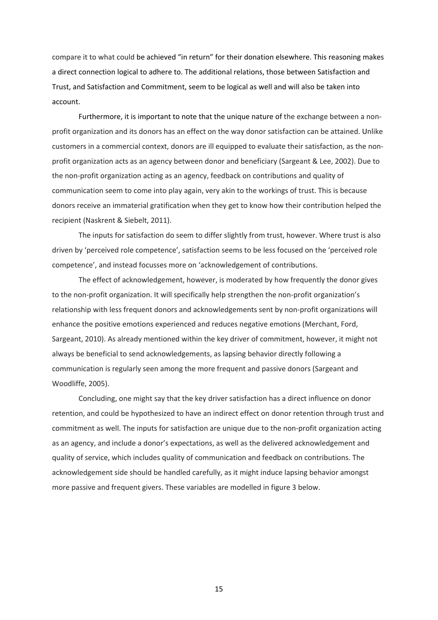compare it to what could be achieved "in return" for their donation elsewhere. This reasoning makes a direct connection logical to adhere to. The additional relations, those between Satisfaction and Trust, and Satisfaction and Commitment, seem to be logical as well and will also be taken into account.

Furthermore, it is important to note that the unique nature of the exchange between a nonprofit organization and its donors has an effect on the way donor satisfaction can be attained. Unlike customers in a commercial context, donors are ill equipped to evaluate their satisfaction, as the nonprofit organization acts as an agency between donor and beneficiary (Sargeant & Lee, 2002). Due to the non-profit organization acting as an agency, feedback on contributions and quality of communication seem to come into play again, very akin to the workings of trust. This is because donors receive an immaterial gratification when they get to know how their contribution helped the recipient (Naskrent & Siebelt, 2011).

The inputs for satisfaction do seem to differ slightly from trust, however. Where trust is also driven by 'perceived role competence', satisfaction seems to be less focused on the 'perceived role competence', and instead focusses more on 'acknowledgement of contributions.

The effect of acknowledgement, however, is moderated by how frequently the donor gives to the non-profit organization. It will specifically help strengthen the non-profit organization's relationship with less frequent donors and acknowledgements sent by non-profit organizations will enhance the positive emotions experienced and reduces negative emotions (Merchant, Ford, Sargeant, 2010). As already mentioned within the key driver of commitment, however, it might not always be beneficial to send acknowledgements, as lapsing behavior directly following a communication is regularly seen among the more frequent and passive donors (Sargeant and Woodliffe, 2005).

Concluding, one might say that the key driver satisfaction has a direct influence on donor retention, and could be hypothesized to have an indirect effect on donor retention through trust and commitment as well. The inputs for satisfaction are unique due to the non-profit organization acting as an agency, and include a donor's expectations, as well as the delivered acknowledgement and quality of service, which includes quality of communication and feedback on contributions. The acknowledgement side should be handled carefully, as it might induce lapsing behavior amongst more passive and frequent givers. These variables are modelled in figure 3 below.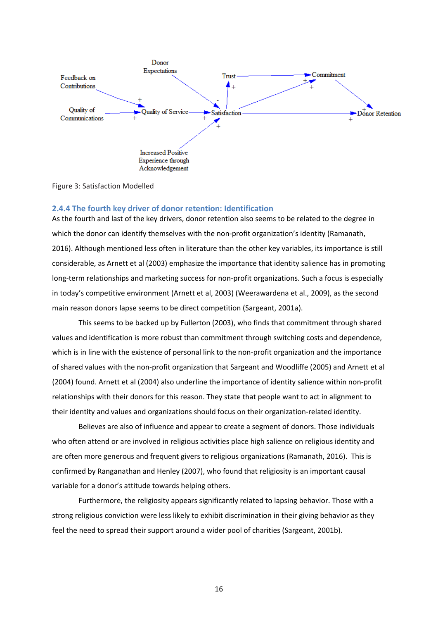

Figure 3: Satisfaction Modelled

#### <span id="page-16-0"></span>**2.4.4 The fourth key driver of donor retention: Identification**

As the fourth and last of the key drivers, donor retention also seems to be related to the degree in which the donor can identify themselves with the non-profit organization's identity (Ramanath, 2016). Although mentioned less often in literature than the other key variables, its importance is still considerable, as Arnett et al (2003) emphasize the importance that identity salience has in promoting long-term relationships and marketing success for non-profit organizations. Such a focus is especially in today's competitive environment (Arnett et al, 2003) (Weerawardena et al., 2009), as the second main reason donors lapse seems to be direct competition (Sargeant, 2001a).

This seems to be backed up by Fullerton (2003), who finds that commitment through shared values and identification is more robust than commitment through switching costs and dependence, which is in line with the existence of personal link to the non-profit organization and the importance of shared values with the non-profit organization that Sargeant and Woodliffe (2005) and Arnett et al (2004) found. Arnett et al (2004) also underline the importance of identity salience within non-profit relationships with their donors for this reason. They state that people want to act in alignment to their identity and values and organizations should focus on their organization-related identity.

Believes are also of influence and appear to create a segment of donors. Those individuals who often attend or are involved in religious activities place high salience on religious identity and are often more generous and frequent givers to religious organizations (Ramanath, 2016). This is confirmed by Ranganathan and Henley (2007), who found that religiosity is an important causal variable for a donor's attitude towards helping others.

Furthermore, the religiosity appears significantly related to lapsing behavior. Those with a strong religious conviction were less likely to exhibit discrimination in their giving behavior as they feel the need to spread their support around a wider pool of charities (Sargeant, 2001b).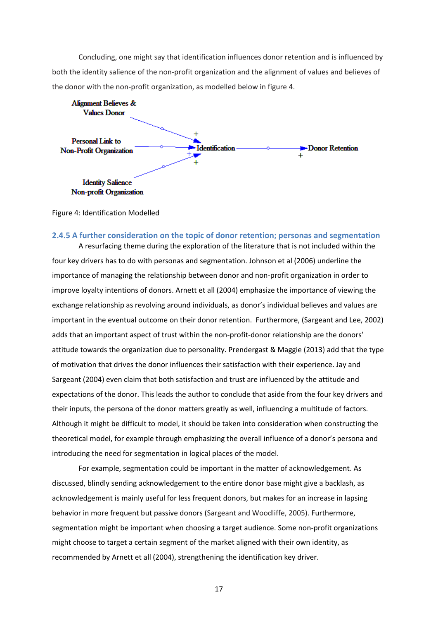Concluding, one might say that identification influences donor retention and is influenced by both the identity salience of the non-profit organization and the alignment of values and believes of the donor with the non-profit organization, as modelled below in figure 4.



Figure 4: Identification Modelled

#### <span id="page-17-0"></span>**2.4.5 A further consideration on the topic of donor retention; personas and segmentation**

A resurfacing theme during the exploration of the literature that is not included within the four key drivers has to do with personas and segmentation. Johnson et al (2006) underline the importance of managing the relationship between donor and non-profit organization in order to improve loyalty intentions of donors. Arnett et all (2004) emphasize the importance of viewing the exchange relationship as revolving around individuals, as donor's individual believes and values are important in the eventual outcome on their donor retention. Furthermore, (Sargeant and Lee, 2002) adds that an important aspect of trust within the non-profit-donor relationship are the donors' attitude towards the organization due to personality. Prendergast & Maggie (2013) add that the type of motivation that drives the donor influences their satisfaction with their experience. Jay and Sargeant (2004) even claim that both satisfaction and trust are influenced by the attitude and expectations of the donor. This leads the author to conclude that aside from the four key drivers and their inputs, the persona of the donor matters greatly as well, influencing a multitude of factors. Although it might be difficult to model, it should be taken into consideration when constructing the theoretical model, for example through emphasizing the overall influence of a donor's persona and introducing the need for segmentation in logical places of the model.

For example, segmentation could be important in the matter of acknowledgement. As discussed, blindly sending acknowledgement to the entire donor base might give a backlash, as acknowledgement is mainly useful for less frequent donors, but makes for an increase in lapsing behavior in more frequent but passive donors (Sargeant and Woodliffe, 2005). Furthermore, segmentation might be important when choosing a target audience. Some non-profit organizations might choose to target a certain segment of the market aligned with their own identity, as recommended by Arnett et all (2004), strengthening the identification key driver.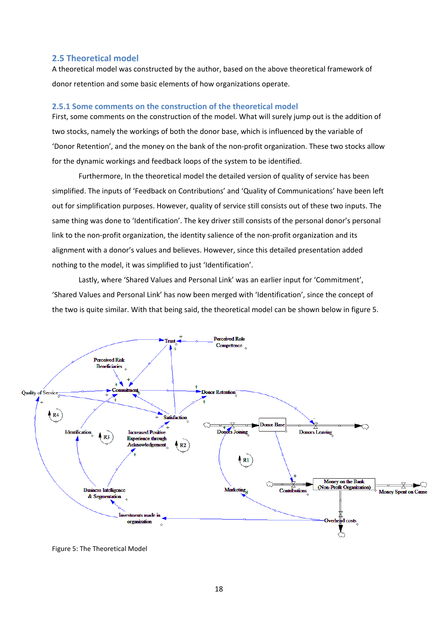# <span id="page-18-0"></span>**2.5 Theoretical model**

A theoretical model was constructed by the author, based on the above theoretical framework of donor retention and some basic elements of how organizations operate.

# <span id="page-18-1"></span>**2.5.1 Some comments on the construction of the theoretical model**

First, some comments on the construction of the model. What will surely jump out is the addition of two stocks, namely the workings of both the donor base, which is influenced by the variable of 'Donor Retention', and the money on the bank of the non-profit organization. These two stocks allow for the dynamic workings and feedback loops of the system to be identified.

Furthermore, In the theoretical model the detailed version of quality of service has been simplified. The inputs of 'Feedback on Contributions' and 'Quality of Communications' have been left out for simplification purposes. However, quality of service still consists out of these two inputs. The same thing was done to 'Identification'. The key driver still consists of the personal donor's personal link to the non-profit organization, the identity salience of the non-profit organization and its alignment with a donor's values and believes. However, since this detailed presentation added nothing to the model, it was simplified to just 'Identification'.

Lastly, where 'Shared Values and Personal Link' was an earlier input for 'Commitment', 'Shared Values and Personal Link' has now been merged with 'Identification', since the concept of the two is quite similar. With that being said, the theoretical model can be shown below in figure 5.



Figure 5: The Theoretical Model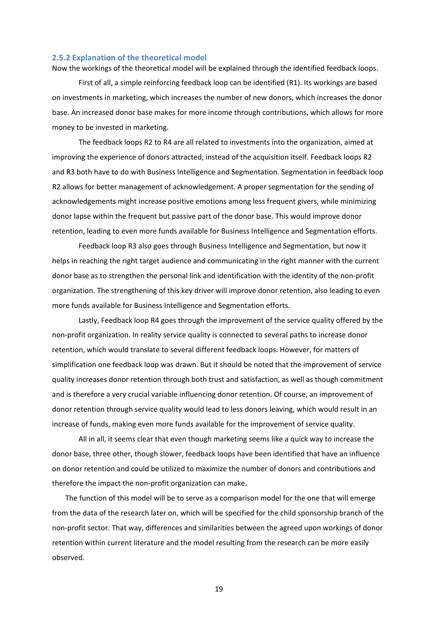#### <span id="page-19-0"></span>**2.5.2 Explanation of the theoretical model**

Now the workings of the theoretical model will be explained through the identified feedback loops.

First of all, a simple reinforcing feedback loop can be identified (R1). Its workings are based on investments in marketing, which increases the number of new donors, which increases the donor base. An increased donor base makes for more income through contributions, which allows for more money to be invested in marketing.

The feedback loops R2 to R4 are all related to investments into the organization, aimed at improving the experience of donors attracted, instead of the acquisition itself. Feedback loops R2 and R3 both have to do with Business Intelligence and Segmentation. Segmentation in feedback loop R2 allows for better management of acknowledgement. A proper segmentation for the sending of acknowledgements might increase positive emotions among less frequent givers, while minimizing donor lapse within the frequent but passive part of the donor base. This would improve donor retention, leading to even more funds available for Business Intelligence and Segmentation efforts.

Feedback loop R3 also goes through Business Intelligence and Segmentation, but now it helps in reaching the right target audience and communicating in the right manner with the current donor base as to strengthen the personal link and identification with the identity of the non-profit organization. The strengthening of this key driver will improve donor retention, also leading to even more funds available for Business Intelligence and Segmentation efforts.

Lastly, Feedback loop R4 goes through the improvement of the service quality offered by the non-profit organization. In reality service quality is connected to several paths to increase donor retention, which would translate to several different feedback loops. However, for matters of simplification one feedback loop was drawn. But it should be noted that the improvement of service quality increases donor retention through both trust and satisfaction, as well as though commitment and is therefore a very crucial variable influencing donor retention. Of course, an improvement of donor retention through service quality would lead to less donors leaving, which would result in an increase of funds, making even more funds available for the improvement of service quality.

All in all, it seems clear that even though marketing seems like a quick way to increase the donor base, three other, though slower, feedback loops have been identified that have an influence on donor retention and could be utilized to maximize the number of donors and contributions and therefore the impact the non-profit organization can make.

The function of this model will be to serve as a comparison model for the one that will emerge from the data of the research later on, which will be specified for the child sponsorship branch of the non-profit sector. That way, differences and similarities between the agreed upon workings of donor retention within current literature and the model resulting from the research can be more easily observed.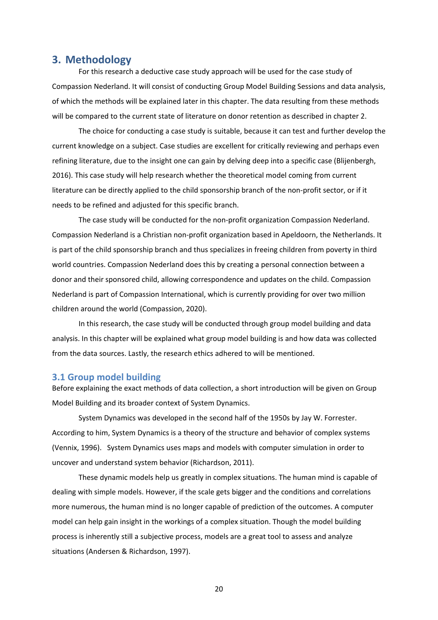# <span id="page-20-0"></span>**3. Methodology**

For this research a deductive case study approach will be used for the case study of Compassion Nederland. It will consist of conducting Group Model Building Sessions and data analysis, of which the methods will be explained later in this chapter. The data resulting from these methods will be compared to the current state of literature on donor retention as described in chapter 2.

The choice for conducting a case study is suitable, because it can test and further develop the current knowledge on a subject. Case studies are excellent for critically reviewing and perhaps even refining literature, due to the insight one can gain by delving deep into a specific case (Blijenbergh, 2016). This case study will help research whether the theoretical model coming from current literature can be directly applied to the child sponsorship branch of the non-profit sector, or if it needs to be refined and adjusted for this specific branch.

The case study will be conducted for the non-profit organization Compassion Nederland. Compassion Nederland is a Christian non-profit organization based in Apeldoorn, the Netherlands. It is part of the child sponsorship branch and thus specializes in freeing children from poverty in third world countries. Compassion Nederland does this by creating a personal connection between a donor and their sponsored child, allowing correspondence and updates on the child. Compassion Nederland is part of Compassion International, which is currently providing for over two million children around the world (Compassion, 2020).

In this research, the case study will be conducted through group model building and data analysis. In this chapter will be explained what group model building is and how data was collected from the data sources. Lastly, the research ethics adhered to will be mentioned.

# <span id="page-20-1"></span>**3.1 Group model building**

Before explaining the exact methods of data collection, a short introduction will be given on Group Model Building and its broader context of System Dynamics.

System Dynamics was developed in the second half of the 1950s by Jay W. Forrester. According to him, System Dynamics is a theory of the structure and behavior of complex systems (Vennix, 1996). System Dynamics uses maps and models with computer simulation in order to uncover and understand system behavior (Richardson, 2011).

These dynamic models help us greatly in complex situations. The human mind is capable of dealing with simple models. However, if the scale gets bigger and the conditions and correlations more numerous, the human mind is no longer capable of prediction of the outcomes. A computer model can help gain insight in the workings of a complex situation. Though the model building process is inherently still a subjective process, models are a great tool to assess and analyze situations (Andersen & Richardson, 1997).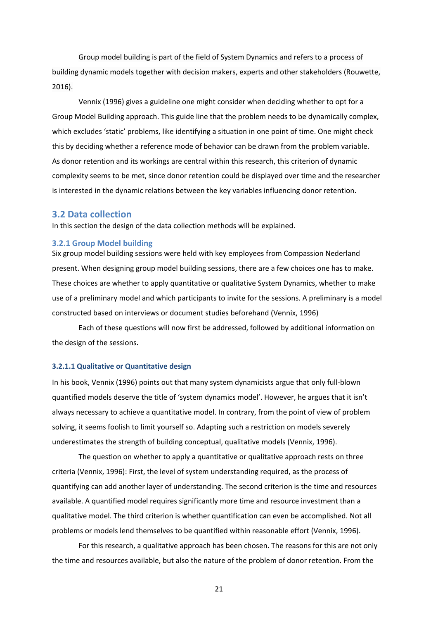Group model building is part of the field of System Dynamics and refers to a process of building dynamic models together with decision makers, experts and other stakeholders (Rouwette, 2016).

Vennix (1996) gives a guideline one might consider when deciding whether to opt for a Group Model Building approach. This guide line that the problem needs to be dynamically complex, which excludes 'static' problems, like identifying a situation in one point of time. One might check this by deciding whether a reference mode of behavior can be drawn from the problem variable. As donor retention and its workings are central within this research, this criterion of dynamic complexity seems to be met, since donor retention could be displayed over time and the researcher is interested in the dynamic relations between the key variables influencing donor retention.

# <span id="page-21-0"></span>**3.2 Data collection**

<span id="page-21-1"></span>In this section the design of the data collection methods will be explained.

#### **3.2.1 Group Model building**

Six group model building sessions were held with key employees from Compassion Nederland present. When designing group model building sessions, there are a few choices one has to make. These choices are whether to apply quantitative or qualitative System Dynamics, whether to make use of a preliminary model and which participants to invite for the sessions. A preliminary is a model constructed based on interviews or document studies beforehand (Vennix, 1996)

Each of these questions will now first be addressed, followed by additional information on the design of the sessions.

# **3.2.1.1 Qualitative or Quantitative design**

In his book, Vennix (1996) points out that many system dynamicists argue that only full-blown quantified models deserve the title of 'system dynamics model'. However, he argues that it isn't always necessary to achieve a quantitative model. In contrary, from the point of view of problem solving, it seems foolish to limit yourself so. Adapting such a restriction on models severely underestimates the strength of building conceptual, qualitative models (Vennix, 1996).

The question on whether to apply a quantitative or qualitative approach rests on three criteria (Vennix, 1996): First, the level of system understanding required, as the process of quantifying can add another layer of understanding. The second criterion is the time and resources available. A quantified model requires significantly more time and resource investment than a qualitative model. The third criterion is whether quantification can even be accomplished. Not all problems or models lend themselves to be quantified within reasonable effort (Vennix, 1996).

For this research, a qualitative approach has been chosen. The reasons for this are not only the time and resources available, but also the nature of the problem of donor retention. From the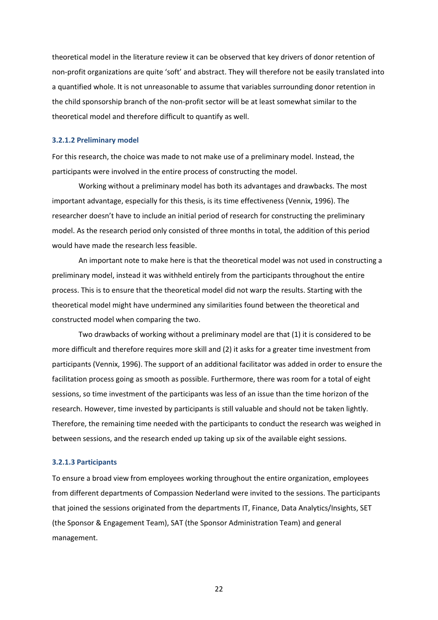theoretical model in the literature review it can be observed that key drivers of donor retention of non-profit organizations are quite 'soft' and abstract. They will therefore not be easily translated into a quantified whole. It is not unreasonable to assume that variables surrounding donor retention in the child sponsorship branch of the non-profit sector will be at least somewhat similar to the theoretical model and therefore difficult to quantify as well.

#### **3.2.1.2 Preliminary model**

For this research, the choice was made to not make use of a preliminary model. Instead, the participants were involved in the entire process of constructing the model.

Working without a preliminary model has both its advantages and drawbacks. The most important advantage, especially for this thesis, is its time effectiveness (Vennix, 1996). The researcher doesn't have to include an initial period of research for constructing the preliminary model. As the research period only consisted of three months in total, the addition of this period would have made the research less feasible.

An important note to make here is that the theoretical model was not used in constructing a preliminary model, instead it was withheld entirely from the participants throughout the entire process. This is to ensure that the theoretical model did not warp the results. Starting with the theoretical model might have undermined any similarities found between the theoretical and constructed model when comparing the two.

Two drawbacks of working without a preliminary model are that (1) it is considered to be more difficult and therefore requires more skill and (2) it asks for a greater time investment from participants (Vennix, 1996). The support of an additional facilitator was added in order to ensure the facilitation process going as smooth as possible. Furthermore, there was room for a total of eight sessions, so time investment of the participants was less of an issue than the time horizon of the research. However, time invested by participants is still valuable and should not be taken lightly. Therefore, the remaining time needed with the participants to conduct the research was weighed in between sessions, and the research ended up taking up six of the available eight sessions.

# **3.2.1.3 Participants**

To ensure a broad view from employees working throughout the entire organization, employees from different departments of Compassion Nederland were invited to the sessions. The participants that joined the sessions originated from the departments IT, Finance, Data Analytics/Insights, SET (the Sponsor & Engagement Team), SAT (the Sponsor Administration Team) and general management.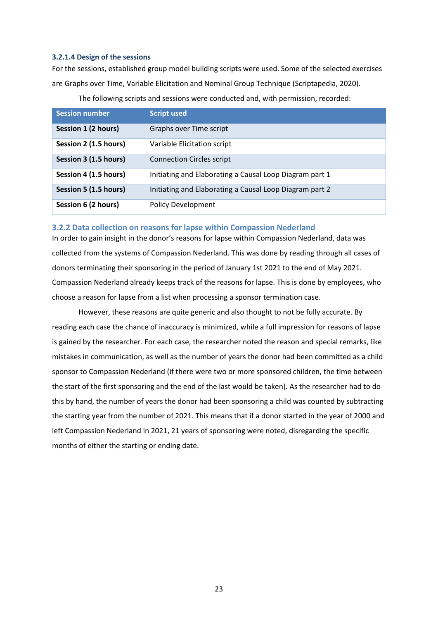# **3.2.1.4 Design of the sessions**

For the sessions, established group model building scripts were used. Some of the selected exercises are Graphs over Time, Variable Elicitation and Nominal Group Technique (Scriptapedia, 2020).

| <b>Session number</b> | <b>Script used</b>                                      |
|-----------------------|---------------------------------------------------------|
| Session 1 (2 hours)   | Graphs over Time script                                 |
| Session 2 (1.5 hours) | Variable Elicitation script                             |
| Session 3 (1.5 hours) | <b>Connection Circles script</b>                        |
| Session 4 (1.5 hours) | Initiating and Elaborating a Causal Loop Diagram part 1 |
| Session 5 (1.5 hours) | Initiating and Elaborating a Causal Loop Diagram part 2 |
| Session 6 (2 hours)   | <b>Policy Development</b>                               |

The following scripts and sessions were conducted and, with permission, recorded:

# <span id="page-23-0"></span>**3.2.2 Data collection on reasons for lapse within Compassion Nederland**

In order to gain insight in the donor's reasons for lapse within Compassion Nederland, data was collected from the systems of Compassion Nederland. This was done by reading through all cases of donors terminating their sponsoring in the period of January 1st 2021 to the end of May 2021. Compassion Nederland already keeps track of the reasons for lapse. This is done by employees, who choose a reason for lapse from a list when processing a sponsor termination case.

However, these reasons are quite generic and also thought to not be fully accurate. By reading each case the chance of inaccuracy is minimized, while a full impression for reasons of lapse is gained by the researcher. For each case, the researcher noted the reason and special remarks, like mistakes in communication, as well as the number of years the donor had been committed as a child sponsor to Compassion Nederland (if there were two or more sponsored children, the time between the start of the first sponsoring and the end of the last would be taken). As the researcher had to do this by hand, the number of years the donor had been sponsoring a child was counted by subtracting the starting year from the number of 2021. This means that if a donor started in the year of 2000 and left Compassion Nederland in 2021, 21 years of sponsoring were noted, disregarding the specific months of either the starting or ending date.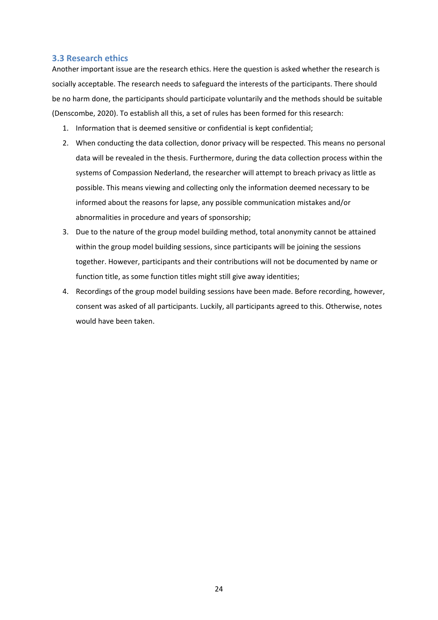# <span id="page-24-0"></span>**3.3 Research ethics**

Another important issue are the research ethics. Here the question is asked whether the research is socially acceptable. The research needs to safeguard the interests of the participants. There should be no harm done, the participants should participate voluntarily and the methods should be suitable (Denscombe, 2020). To establish all this, a set of rules has been formed for this research:

- 1. Information that is deemed sensitive or confidential is kept confidential;
- 2. When conducting the data collection, donor privacy will be respected. This means no personal data will be revealed in the thesis. Furthermore, during the data collection process within the systems of Compassion Nederland, the researcher will attempt to breach privacy as little as possible. This means viewing and collecting only the information deemed necessary to be informed about the reasons for lapse, any possible communication mistakes and/or abnormalities in procedure and years of sponsorship;
- 3. Due to the nature of the group model building method, total anonymity cannot be attained within the group model building sessions, since participants will be joining the sessions together. However, participants and their contributions will not be documented by name or function title, as some function titles might still give away identities;
- 4. Recordings of the group model building sessions have been made. Before recording, however, consent was asked of all participants. Luckily, all participants agreed to this. Otherwise, notes would have been taken.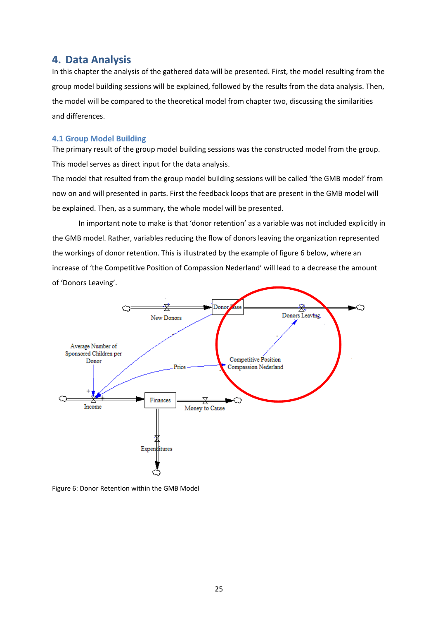# <span id="page-25-0"></span>**4. Data Analysis**

In this chapter the analysis of the gathered data will be presented. First, the model resulting from the group model building sessions will be explained, followed by the results from the data analysis. Then, the model will be compared to the theoretical model from chapter two, discussing the similarities and differences.

# <span id="page-25-1"></span>**4.1 Group Model Building**

The primary result of the group model building sessions was the constructed model from the group. This model serves as direct input for the data analysis.

The model that resulted from the group model building sessions will be called 'the GMB model' from now on and will presented in parts. First the feedback loops that are present in the GMB model will be explained. Then, as a summary, the whole model will be presented.

In important note to make is that 'donor retention' as a variable was not included explicitly in the GMB model. Rather, variables reducing the flow of donors leaving the organization represented the workings of donor retention. This is illustrated by the example of figure 6 below, where an increase of 'the Competitive Position of Compassion Nederland' will lead to a decrease the amount of 'Donors Leaving'.



Figure 6: Donor Retention within the GMB Model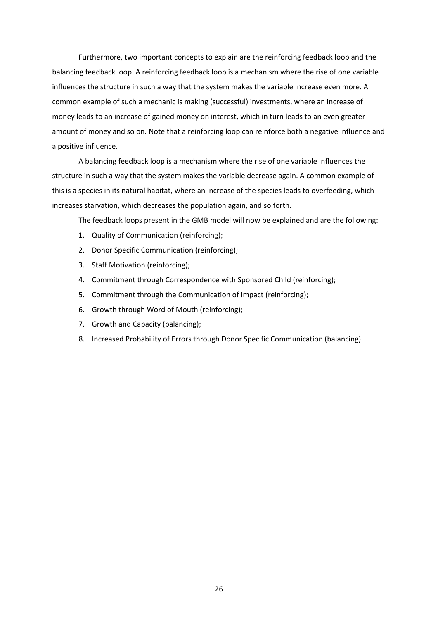Furthermore, two important concepts to explain are the reinforcing feedback loop and the balancing feedback loop. A reinforcing feedback loop is a mechanism where the rise of one variable influences the structure in such a way that the system makes the variable increase even more. A common example of such a mechanic is making (successful) investments, where an increase of money leads to an increase of gained money on interest, which in turn leads to an even greater amount of money and so on. Note that a reinforcing loop can reinforce both a negative influence and a positive influence.

A balancing feedback loop is a mechanism where the rise of one variable influences the structure in such a way that the system makes the variable decrease again. A common example of this is a species in its natural habitat, where an increase of the species leads to overfeeding, which increases starvation, which decreases the population again, and so forth.

The feedback loops present in the GMB model will now be explained and are the following:

- 1. Quality of Communication (reinforcing);
- 2. Donor Specific Communication (reinforcing);
- 3. Staff Motivation (reinforcing);
- 4. Commitment through Correspondence with Sponsored Child (reinforcing);
- 5. Commitment through the Communication of Impact (reinforcing);
- 6. Growth through Word of Mouth (reinforcing);
- 7. Growth and Capacity (balancing);
- 8. Increased Probability of Errors through Donor Specific Communication (balancing).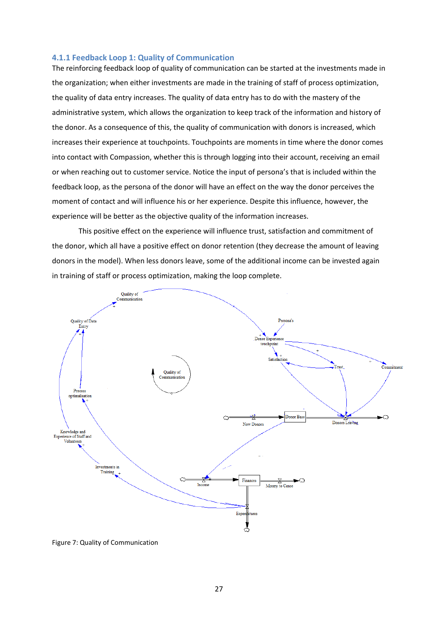# <span id="page-27-0"></span>**4.1.1 Feedback Loop 1: Quality of Communication**

The reinforcing feedback loop of quality of communication can be started at the investments made in the organization; when either investments are made in the training of staff of process optimization, the quality of data entry increases. The quality of data entry has to do with the mastery of the administrative system, which allows the organization to keep track of the information and history of the donor. As a consequence of this, the quality of communication with donors is increased, which increases their experience at touchpoints. Touchpoints are moments in time where the donor comes into contact with Compassion, whether this is through logging into their account, receiving an email or when reaching out to customer service. Notice the input of persona's that is included within the feedback loop, as the persona of the donor will have an effect on the way the donor perceives the moment of contact and will influence his or her experience. Despite this influence, however, the experience will be better as the objective quality of the information increases.

This positive effect on the experience will influence trust, satisfaction and commitment of the donor, which all have a positive effect on donor retention (they decrease the amount of leaving donors in the model). When less donors leave, some of the additional income can be invested again in training of staff or process optimization, making the loop complete.



Figure 7: Quality of Communication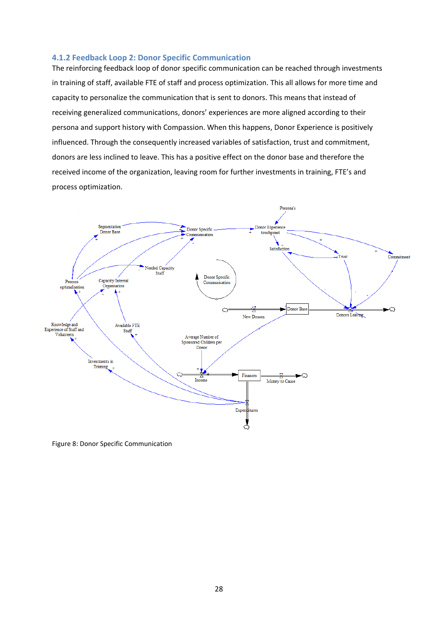# <span id="page-28-0"></span>**4.1.2 Feedback Loop 2: Donor Specific Communication**

The reinforcing feedback loop of donor specific communication can be reached through investments in training of staff, available FTE of staff and process optimization. This all allows for more time and capacity to personalize the communication that is sent to donors. This means that instead of receiving generalized communications, donors' experiences are more aligned according to their persona and support history with Compassion. When this happens, Donor Experience is positively influenced. Through the consequently increased variables of satisfaction, trust and commitment, donors are less inclined to leave. This has a positive effect on the donor base and therefore the received income of the organization, leaving room for further investments in training, FTE's and process optimization.



Figure 8: Donor Specific Communication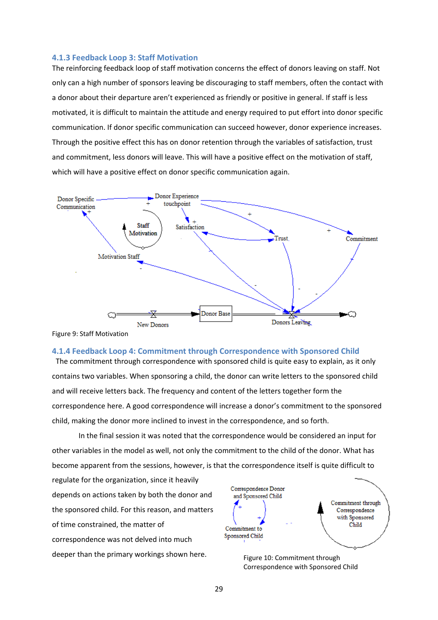# <span id="page-29-0"></span>**4.1.3 Feedback Loop 3: Staff Motivation**

The reinforcing feedback loop of staff motivation concerns the effect of donors leaving on staff. Not only can a high number of sponsors leaving be discouraging to staff members, often the contact with a donor about their departure aren't experienced as friendly or positive in general. If staff is less motivated, it is difficult to maintain the attitude and energy required to put effort into donor specific communication. If donor specific communication can succeed however, donor experience increases. Through the positive effect this has on donor retention through the variables of satisfaction, trust and commitment, less donors will leave. This will have a positive effect on the motivation of staff, which will have a positive effect on donor specific communication again.



<span id="page-29-1"></span>Figure 9: Staff Motivation

# **4.1.4 Feedback Loop 4: Commitment through Correspondence with Sponsored Child**

The commitment through correspondence with sponsored child is quite easy to explain, as it only contains two variables. When sponsoring a child, the donor can write letters to the sponsored child and will receive letters back. The frequency and content of the letters together form the correspondence here. A good correspondence will increase a donor's commitment to the sponsored child, making the donor more inclined to invest in the correspondence, and so forth.

In the final session it was noted that the correspondence would be considered an input for other variables in the model as well, not only the commitment to the child of the donor. What has become apparent from the sessions, however, is that the correspondence itself is quite difficult to

regulate for the organization, since it heavily depends on actions taken by both the donor and the sponsored child. For this reason, and matters of time constrained, the matter of correspondence was not delved into much deeper than the primary workings shown here.<br>Figure 10: Commitment through



Correspondence with Sponsored Child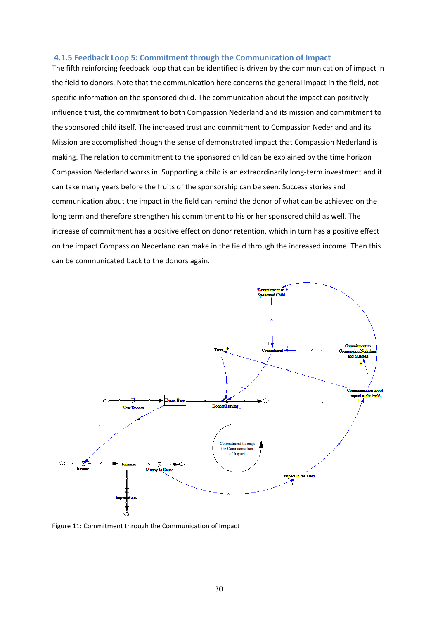# <span id="page-30-0"></span>**4.1.5 Feedback Loop 5: Commitment through the Communication of Impact**

The fifth reinforcing feedback loop that can be identified is driven by the communication of impact in the field to donors. Note that the communication here concerns the general impact in the field, not specific information on the sponsored child. The communication about the impact can positively influence trust, the commitment to both Compassion Nederland and its mission and commitment to the sponsored child itself. The increased trust and commitment to Compassion Nederland and its Mission are accomplished though the sense of demonstrated impact that Compassion Nederland is making. The relation to commitment to the sponsored child can be explained by the time horizon Compassion Nederland works in. Supporting a child is an extraordinarily long-term investment and it can take many years before the fruits of the sponsorship can be seen. Success stories and communication about the impact in the field can remind the donor of what can be achieved on the long term and therefore strengthen his commitment to his or her sponsored child as well. The increase of commitment has a positive effect on donor retention, which in turn has a positive effect on the impact Compassion Nederland can make in the field through the increased income. Then this can be communicated back to the donors again.



Figure 11: Commitment through the Communication of Impact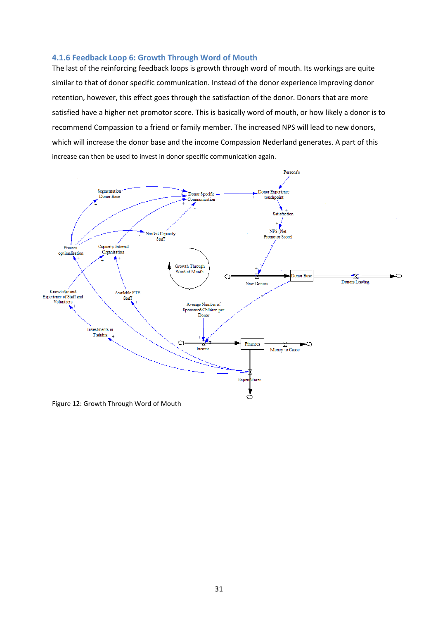# <span id="page-31-0"></span>**4.1.6 Feedback Loop 6: Growth Through Word of Mouth**

The last of the reinforcing feedback loops is growth through word of mouth. Its workings are quite similar to that of donor specific communication. Instead of the donor experience improving donor retention, however, this effect goes through the satisfaction of the donor. Donors that are more satisfied have a higher net promotor score. This is basically word of mouth, or how likely a donor is to recommend Compassion to a friend or family member. The increased NPS will lead to new donors, which will increase the donor base and the income Compassion Nederland generates. A part of this increase can then be used to invest in donor specific communication again.



Figure 12: Growth Through Word of Mouth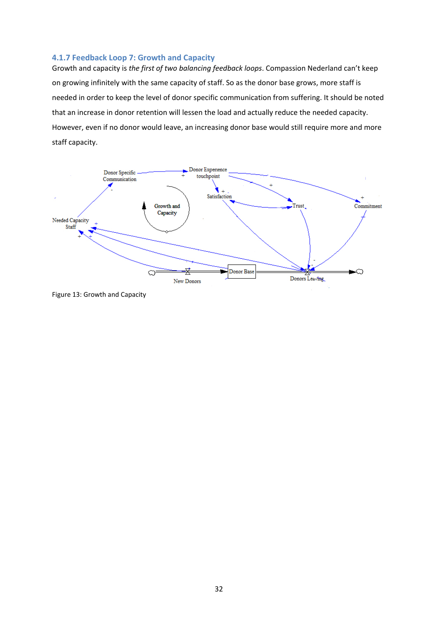# <span id="page-32-0"></span>**4.1.7 Feedback Loop 7: Growth and Capacity**

Growth and capacity is *the first of two balancing feedback loops*. Compassion Nederland can't keep on growing infinitely with the same capacity of staff. So as the donor base grows, more staff is needed in order to keep the level of donor specific communication from suffering. It should be noted that an increase in donor retention will lessen the load and actually reduce the needed capacity. However, even if no donor would leave, an increasing donor base would still require more and more staff capacity.



Figure 13: Growth and Capacity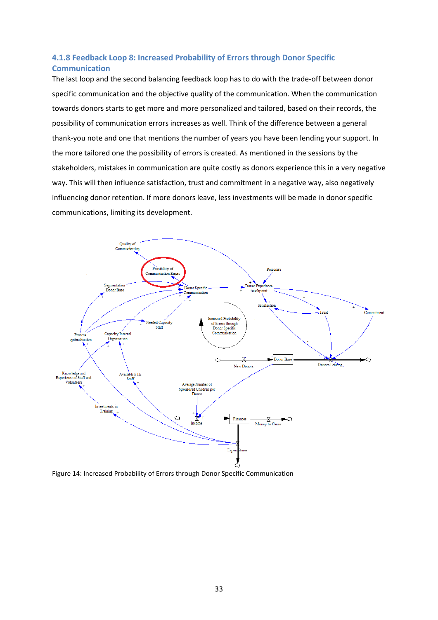# <span id="page-33-0"></span>**4.1.8 Feedback Loop 8: Increased Probability of Errors through Donor Specific Communication**

The last loop and the second balancing feedback loop has to do with the trade-off between donor specific communication and the objective quality of the communication. When the communication towards donors starts to get more and more personalized and tailored, based on their records, the possibility of communication errors increases as well. Think of the difference between a general thank-you note and one that mentions the number of years you have been lending your support. In the more tailored one the possibility of errors is created. As mentioned in the sessions by the stakeholders, mistakes in communication are quite costly as donors experience this in a very negative way. This will then influence satisfaction, trust and commitment in a negative way, also negatively influencing donor retention. If more donors leave, less investments will be made in donor specific communications, limiting its development.



Figure 14: Increased Probability of Errors through Donor Specific Communication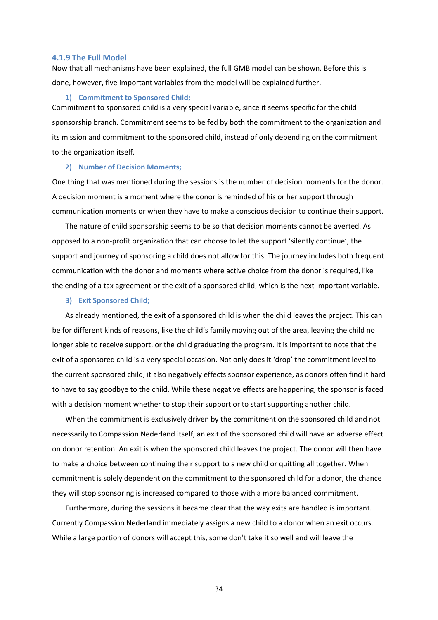#### <span id="page-34-0"></span>**4.1.9 The Full Model**

Now that all mechanisms have been explained, the full GMB model can be shown. Before this is done, however, five important variables from the model will be explained further.

#### **1) Commitment to Sponsored Child;**

Commitment to sponsored child is a very special variable, since it seems specific for the child sponsorship branch. Commitment seems to be fed by both the commitment to the organization and its mission and commitment to the sponsored child, instead of only depending on the commitment to the organization itself.

#### **2) Number of Decision Moments;**

One thing that was mentioned during the sessions is the number of decision moments for the donor. A decision moment is a moment where the donor is reminded of his or her support through communication moments or when they have to make a conscious decision to continue their support.

The nature of child sponsorship seems to be so that decision moments cannot be averted. As opposed to a non-profit organization that can choose to let the support 'silently continue', the support and journey of sponsoring a child does not allow for this. The journey includes both frequent communication with the donor and moments where active choice from the donor is required, like the ending of a tax agreement or the exit of a sponsored child, which is the next important variable.

#### **3) Exit Sponsored Child;**

As already mentioned, the exit of a sponsored child is when the child leaves the project. This can be for different kinds of reasons, like the child's family moving out of the area, leaving the child no longer able to receive support, or the child graduating the program. It is important to note that the exit of a sponsored child is a very special occasion. Not only does it 'drop' the commitment level to the current sponsored child, it also negatively effects sponsor experience, as donors often find it hard to have to say goodbye to the child. While these negative effects are happening, the sponsor is faced with a decision moment whether to stop their support or to start supporting another child.

When the commitment is exclusively driven by the commitment on the sponsored child and not necessarily to Compassion Nederland itself, an exit of the sponsored child will have an adverse effect on donor retention. An exit is when the sponsored child leaves the project. The donor will then have to make a choice between continuing their support to a new child or quitting all together. When commitment is solely dependent on the commitment to the sponsored child for a donor, the chance they will stop sponsoring is increased compared to those with a more balanced commitment.

Furthermore, during the sessions it became clear that the way exits are handled is important. Currently Compassion Nederland immediately assigns a new child to a donor when an exit occurs. While a large portion of donors will accept this, some don't take it so well and will leave the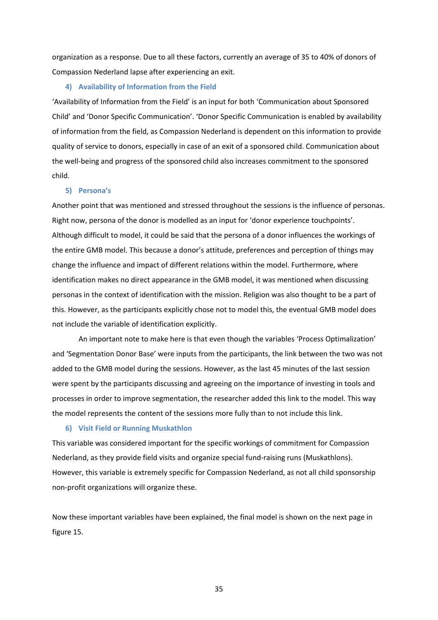organization as a response. Due to all these factors, currently an average of 35 to 40% of donors of Compassion Nederland lapse after experiencing an exit.

# **4) Availability of Information from the Field**

'Availability of Information from the Field' is an input for both 'Communication about Sponsored Child' and 'Donor Specific Communication'. 'Donor Specific Communication is enabled by availability of information from the field, as Compassion Nederland is dependent on this information to provide quality of service to donors, especially in case of an exit of a sponsored child. Communication about the well-being and progress of the sponsored child also increases commitment to the sponsored child.

# **5) Persona's**

Another point that was mentioned and stressed throughout the sessions is the influence of personas. Right now, persona of the donor is modelled as an input for 'donor experience touchpoints'. Although difficult to model, it could be said that the persona of a donor influences the workings of the entire GMB model. This because a donor's attitude, preferences and perception of things may change the influence and impact of different relations within the model. Furthermore, where identification makes no direct appearance in the GMB model, it was mentioned when discussing personas in the context of identification with the mission. Religion was also thought to be a part of this. However, as the participants explicitly chose not to model this, the eventual GMB model does not include the variable of identification explicitly.

An important note to make here is that even though the variables 'Process Optimalization' and 'Segmentation Donor Base' were inputs from the participants, the link between the two was not added to the GMB model during the sessions. However, as the last 45 minutes of the last session were spent by the participants discussing and agreeing on the importance of investing in tools and processes in order to improve segmentation, the researcher added this link to the model. This way the model represents the content of the sessions more fully than to not include this link.

# **6) Visit Field or Running Muskathlon**

This variable was considered important for the specific workings of commitment for Compassion Nederland, as they provide field visits and organize special fund-raising runs (Muskathlons). However, this variable is extremely specific for Compassion Nederland, as not all child sponsorship non-profit organizations will organize these.

Now these important variables have been explained, the final model is shown on the next page in figure 15.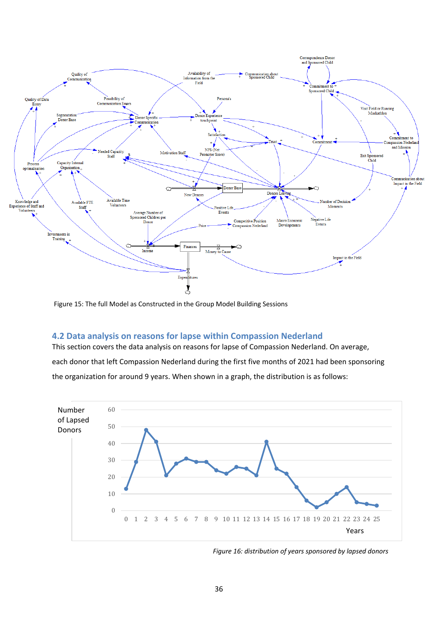

Figure 15: The full Model as Constructed in the Group Model Building Sessions

# <span id="page-36-0"></span>**4.2 Data analysis on reasons for lapse within Compassion Nederland**

This section covers the data analysis on reasons for lapse of Compassion Nederland. On average, each donor that left Compassion Nederland during the first five months of 2021 had been sponsoring the organization for around 9 years. When shown in a graph, the distribution is as follows:



*Figure 16: distribution of years sponsored by lapsed donors*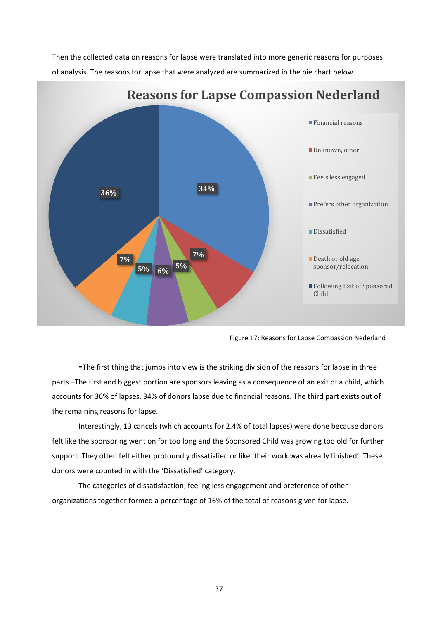Then the collected data on reasons for lapse were translated into more generic reasons for purposes of analysis. The reasons for lapse that were analyzed are summarized in the pie chart below.



Figure 17: Reasons for Lapse Compassion Nederland

=The first thing that jumps into view is the striking division of the reasons for lapse in three parts –The first and biggest portion are sponsors leaving as a consequence of an exit of a child, which accounts for 36% of lapses. 34% of donors lapse due to financial reasons. The third part exists out of the remaining reasons for lapse.

Interestingly, 13 cancels (which accounts for 2.4% of total lapses) were done because donors felt like the sponsoring went on for too long and the Sponsored Child was growing too old for further support. They often felt either profoundly dissatisfied or like 'their work was already finished'. These donors were counted in with the 'Dissatisfied' category.

The categories of dissatisfaction, feeling less engagement and preference of other organizations together formed a percentage of 16% of the total of reasons given for lapse.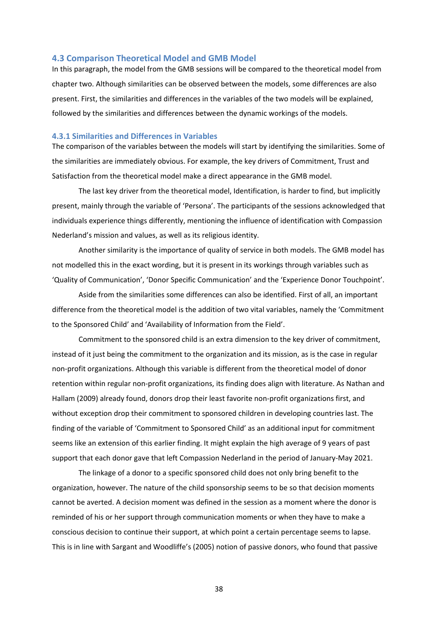# <span id="page-38-0"></span>**4.3 Comparison Theoretical Model and GMB Model**

In this paragraph, the model from the GMB sessions will be compared to the theoretical model from chapter two. Although similarities can be observed between the models, some differences are also present. First, the similarities and differences in the variables of the two models will be explained, followed by the similarities and differences between the dynamic workings of the models.

# <span id="page-38-1"></span>**4.3.1 Similarities and Differences in Variables**

The comparison of the variables between the models will start by identifying the similarities. Some of the similarities are immediately obvious. For example, the key drivers of Commitment, Trust and Satisfaction from the theoretical model make a direct appearance in the GMB model.

The last key driver from the theoretical model, Identification, is harder to find, but implicitly present, mainly through the variable of 'Persona'. The participants of the sessions acknowledged that individuals experience things differently, mentioning the influence of identification with Compassion Nederland's mission and values, as well as its religious identity.

Another similarity is the importance of quality of service in both models. The GMB model has not modelled this in the exact wording, but it is present in its workings through variables such as 'Quality of Communication', 'Donor Specific Communication' and the 'Experience Donor Touchpoint'.

Aside from the similarities some differences can also be identified. First of all, an important difference from the theoretical model is the addition of two vital variables, namely the 'Commitment to the Sponsored Child' and 'Availability of Information from the Field'.

Commitment to the sponsored child is an extra dimension to the key driver of commitment, instead of it just being the commitment to the organization and its mission, as is the case in regular non-profit organizations. Although this variable is different from the theoretical model of donor retention within regular non-profit organizations, its finding does align with literature. As Nathan and Hallam (2009) already found, donors drop their least favorite non-profit organizations first, and without exception drop their commitment to sponsored children in developing countries last. The finding of the variable of 'Commitment to Sponsored Child' as an additional input for commitment seems like an extension of this earlier finding. It might explain the high average of 9 years of past support that each donor gave that left Compassion Nederland in the period of January-May 2021.

The linkage of a donor to a specific sponsored child does not only bring benefit to the organization, however. The nature of the child sponsorship seems to be so that decision moments cannot be averted. A decision moment was defined in the session as a moment where the donor is reminded of his or her support through communication moments or when they have to make a conscious decision to continue their support, at which point a certain percentage seems to lapse. This is in line with Sargant and Woodliffe's (2005) notion of passive donors, who found that passive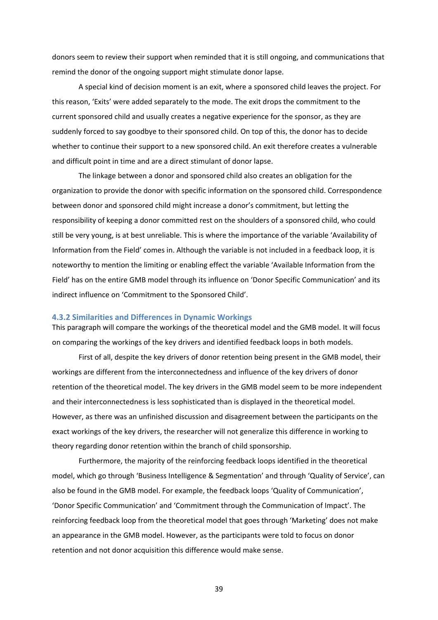donors seem to review their support when reminded that it is still ongoing, and communications that remind the donor of the ongoing support might stimulate donor lapse.

A special kind of decision moment is an exit, where a sponsored child leaves the project. For this reason, 'Exits' were added separately to the mode. The exit drops the commitment to the current sponsored child and usually creates a negative experience for the sponsor, as they are suddenly forced to say goodbye to their sponsored child. On top of this, the donor has to decide whether to continue their support to a new sponsored child. An exit therefore creates a vulnerable and difficult point in time and are a direct stimulant of donor lapse.

The linkage between a donor and sponsored child also creates an obligation for the organization to provide the donor with specific information on the sponsored child. Correspondence between donor and sponsored child might increase a donor's commitment, but letting the responsibility of keeping a donor committed rest on the shoulders of a sponsored child, who could still be very young, is at best unreliable. This is where the importance of the variable 'Availability of Information from the Field' comes in. Although the variable is not included in a feedback loop, it is noteworthy to mention the limiting or enabling effect the variable 'Available Information from the Field' has on the entire GMB model through its influence on 'Donor Specific Communication' and its indirect influence on 'Commitment to the Sponsored Child'.

#### <span id="page-39-0"></span>**4.3.2 Similarities and Differences in Dynamic Workings**

This paragraph will compare the workings of the theoretical model and the GMB model. It will focus on comparing the workings of the key drivers and identified feedback loops in both models.

First of all, despite the key drivers of donor retention being present in the GMB model, their workings are different from the interconnectedness and influence of the key drivers of donor retention of the theoretical model. The key drivers in the GMB model seem to be more independent and their interconnectedness is less sophisticated than is displayed in the theoretical model. However, as there was an unfinished discussion and disagreement between the participants on the exact workings of the key drivers, the researcher will not generalize this difference in working to theory regarding donor retention within the branch of child sponsorship.

Furthermore, the majority of the reinforcing feedback loops identified in the theoretical model, which go through 'Business Intelligence & Segmentation' and through 'Quality of Service', can also be found in the GMB model. For example, the feedback loops 'Quality of Communication', 'Donor Specific Communication' and 'Commitment through the Communication of Impact'. The reinforcing feedback loop from the theoretical model that goes through 'Marketing' does not make an appearance in the GMB model. However, as the participants were told to focus on donor retention and not donor acquisition this difference would make sense.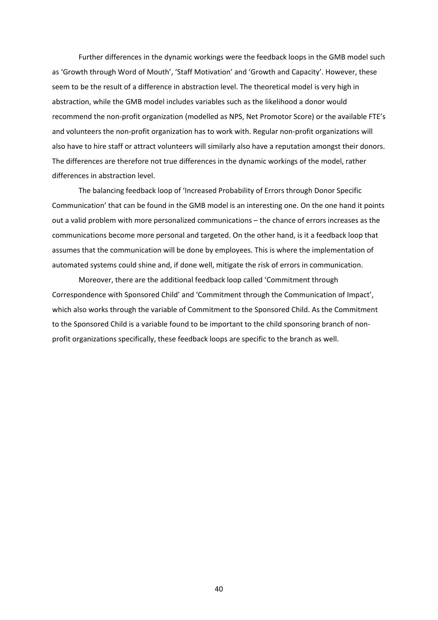Further differences in the dynamic workings were the feedback loops in the GMB model such as 'Growth through Word of Mouth', 'Staff Motivation' and 'Growth and Capacity'. However, these seem to be the result of a difference in abstraction level. The theoretical model is very high in abstraction, while the GMB model includes variables such as the likelihood a donor would recommend the non-profit organization (modelled as NPS, Net Promotor Score) or the available FTE's and volunteers the non-profit organization has to work with. Regular non-profit organizations will also have to hire staff or attract volunteers will similarly also have a reputation amongst their donors. The differences are therefore not true differences in the dynamic workings of the model, rather differences in abstraction level.

The balancing feedback loop of 'Increased Probability of Errors through Donor Specific Communication' that can be found in the GMB model is an interesting one. On the one hand it points out a valid problem with more personalized communications – the chance of errors increases as the communications become more personal and targeted. On the other hand, is it a feedback loop that assumes that the communication will be done by employees. This is where the implementation of automated systems could shine and, if done well, mitigate the risk of errors in communication.

Moreover, there are the additional feedback loop called 'Commitment through Correspondence with Sponsored Child' and 'Commitment through the Communication of Impact', which also works through the variable of Commitment to the Sponsored Child. As the Commitment to the Sponsored Child is a variable found to be important to the child sponsoring branch of nonprofit organizations specifically, these feedback loops are specific to the branch as well.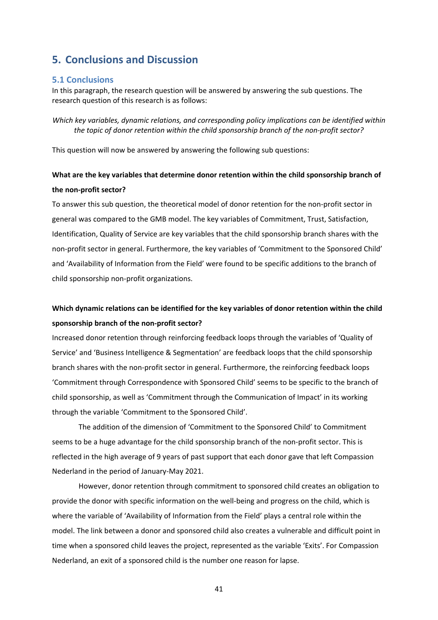# <span id="page-41-0"></span>**5. Conclusions and Discussion**

# <span id="page-41-1"></span>**5.1 Conclusions**

In this paragraph, the research question will be answered by answering the sub questions. The research question of this research is as follows:

*Which key variables, dynamic relations, and corresponding policy implications can be identified within the topic of donor retention within the child sponsorship branch of the non-profit sector?*

This question will now be answered by answering the following sub questions:

# **What are the key variables that determine donor retention within the child sponsorship branch of the non-profit sector?**

To answer this sub question, the theoretical model of donor retention for the non-profit sector in general was compared to the GMB model. The key variables of Commitment, Trust, Satisfaction, Identification, Quality of Service are key variables that the child sponsorship branch shares with the non-profit sector in general. Furthermore, the key variables of 'Commitment to the Sponsored Child' and 'Availability of Information from the Field' were found to be specific additions to the branch of child sponsorship non-profit organizations.

# **Which dynamic relations can be identified for the key variables of donor retention within the child sponsorship branch of the non-profit sector?**

Increased donor retention through reinforcing feedback loops through the variables of 'Quality of Service' and 'Business Intelligence & Segmentation' are feedback loops that the child sponsorship branch shares with the non-profit sector in general. Furthermore, the reinforcing feedback loops 'Commitment through Correspondence with Sponsored Child' seems to be specific to the branch of child sponsorship, as well as 'Commitment through the Communication of Impact' in its working through the variable 'Commitment to the Sponsored Child'.

The addition of the dimension of 'Commitment to the Sponsored Child' to Commitment seems to be a huge advantage for the child sponsorship branch of the non-profit sector. This is reflected in the high average of 9 years of past support that each donor gave that left Compassion Nederland in the period of January-May 2021.

However, donor retention through commitment to sponsored child creates an obligation to provide the donor with specific information on the well-being and progress on the child, which is where the variable of 'Availability of Information from the Field' plays a central role within the model. The link between a donor and sponsored child also creates a vulnerable and difficult point in time when a sponsored child leaves the project, represented as the variable 'Exits'. For Compassion Nederland, an exit of a sponsored child is the number one reason for lapse.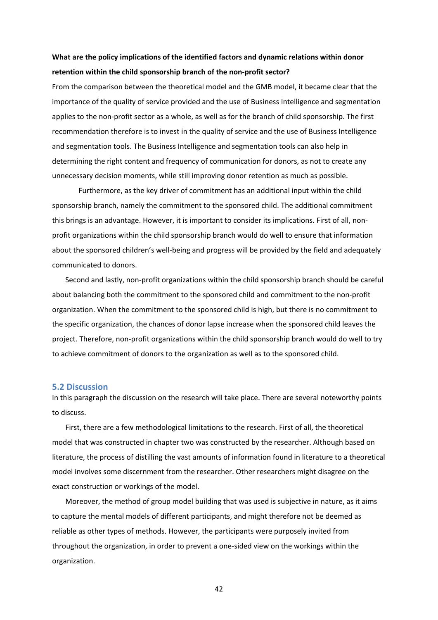# **What are the policy implications of the identified factors and dynamic relations within donor retention within the child sponsorship branch of the non-profit sector?**

From the comparison between the theoretical model and the GMB model, it became clear that the importance of the quality of service provided and the use of Business Intelligence and segmentation applies to the non-profit sector as a whole, as well as for the branch of child sponsorship. The first recommendation therefore is to invest in the quality of service and the use of Business Intelligence and segmentation tools. The Business Intelligence and segmentation tools can also help in determining the right content and frequency of communication for donors, as not to create any unnecessary decision moments, while still improving donor retention as much as possible.

Furthermore, as the key driver of commitment has an additional input within the child sponsorship branch, namely the commitment to the sponsored child. The additional commitment this brings is an advantage. However, it is important to consider its implications. First of all, nonprofit organizations within the child sponsorship branch would do well to ensure that information about the sponsored children's well-being and progress will be provided by the field and adequately communicated to donors.

Second and lastly, non-profit organizations within the child sponsorship branch should be careful about balancing both the commitment to the sponsored child and commitment to the non-profit organization. When the commitment to the sponsored child is high, but there is no commitment to the specific organization, the chances of donor lapse increase when the sponsored child leaves the project. Therefore, non-profit organizations within the child sponsorship branch would do well to try to achieve commitment of donors to the organization as well as to the sponsored child.

# <span id="page-42-0"></span>**5.2 Discussion**

In this paragraph the discussion on the research will take place. There are several noteworthy points to discuss.

First, there are a few methodological limitations to the research. First of all, the theoretical model that was constructed in chapter two was constructed by the researcher. Although based on literature, the process of distilling the vast amounts of information found in literature to a theoretical model involves some discernment from the researcher. Other researchers might disagree on the exact construction or workings of the model.

Moreover, the method of group model building that was used is subjective in nature, as it aims to capture the mental models of different participants, and might therefore not be deemed as reliable as other types of methods. However, the participants were purposely invited from throughout the organization, in order to prevent a one-sided view on the workings within the organization.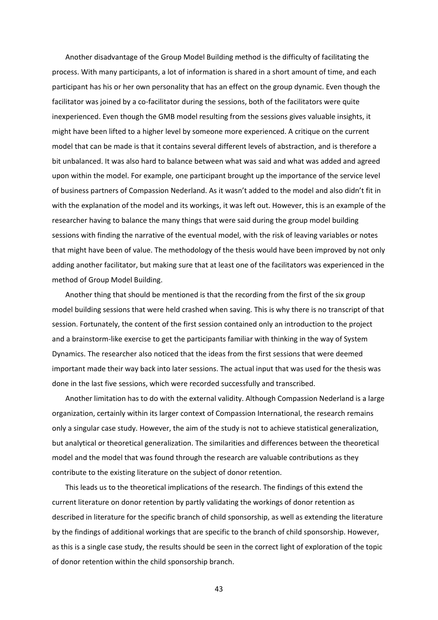Another disadvantage of the Group Model Building method is the difficulty of facilitating the process. With many participants, a lot of information is shared in a short amount of time, and each participant has his or her own personality that has an effect on the group dynamic. Even though the facilitator was joined by a co-facilitator during the sessions, both of the facilitators were quite inexperienced. Even though the GMB model resulting from the sessions gives valuable insights, it might have been lifted to a higher level by someone more experienced. A critique on the current model that can be made is that it contains several different levels of abstraction, and is therefore a bit unbalanced. It was also hard to balance between what was said and what was added and agreed upon within the model. For example, one participant brought up the importance of the service level of business partners of Compassion Nederland. As it wasn't added to the model and also didn't fit in with the explanation of the model and its workings, it was left out. However, this is an example of the researcher having to balance the many things that were said during the group model building sessions with finding the narrative of the eventual model, with the risk of leaving variables or notes that might have been of value. The methodology of the thesis would have been improved by not only adding another facilitator, but making sure that at least one of the facilitators was experienced in the method of Group Model Building.

Another thing that should be mentioned is that the recording from the first of the six group model building sessions that were held crashed when saving. This is why there is no transcript of that session. Fortunately, the content of the first session contained only an introduction to the project and a brainstorm-like exercise to get the participants familiar with thinking in the way of System Dynamics. The researcher also noticed that the ideas from the first sessions that were deemed important made their way back into later sessions. The actual input that was used for the thesis was done in the last five sessions, which were recorded successfully and transcribed.

Another limitation has to do with the external validity. Although Compassion Nederland is a large organization, certainly within its larger context of Compassion International, the research remains only a singular case study. However, the aim of the study is not to achieve statistical generalization, but analytical or theoretical generalization. The similarities and differences between the theoretical model and the model that was found through the research are valuable contributions as they contribute to the existing literature on the subject of donor retention.

This leads us to the theoretical implications of the research. The findings of this extend the current literature on donor retention by partly validating the workings of donor retention as described in literature for the specific branch of child sponsorship, as well as extending the literature by the findings of additional workings that are specific to the branch of child sponsorship. However, as this is a single case study, the results should be seen in the correct light of exploration of the topic of donor retention within the child sponsorship branch.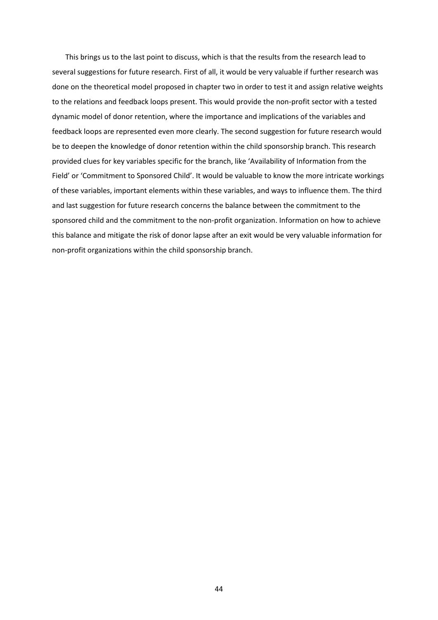This brings us to the last point to discuss, which is that the results from the research lead to several suggestions for future research. First of all, it would be very valuable if further research was done on the theoretical model proposed in chapter two in order to test it and assign relative weights to the relations and feedback loops present. This would provide the non-profit sector with a tested dynamic model of donor retention, where the importance and implications of the variables and feedback loops are represented even more clearly. The second suggestion for future research would be to deepen the knowledge of donor retention within the child sponsorship branch. This research provided clues for key variables specific for the branch, like 'Availability of Information from the Field' or 'Commitment to Sponsored Child'. It would be valuable to know the more intricate workings of these variables, important elements within these variables, and ways to influence them. The third and last suggestion for future research concerns the balance between the commitment to the sponsored child and the commitment to the non-profit organization. Information on how to achieve this balance and mitigate the risk of donor lapse after an exit would be very valuable information for non-profit organizations within the child sponsorship branch.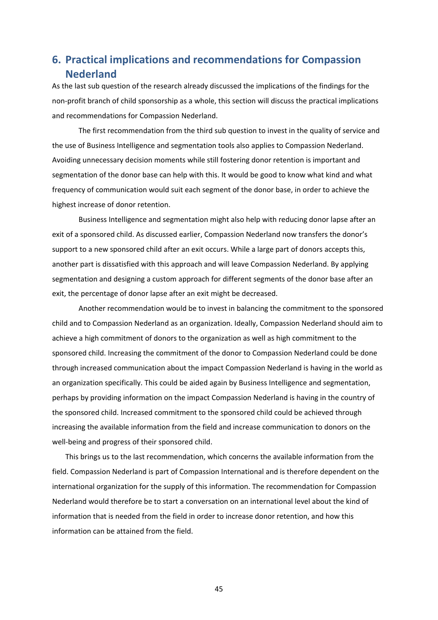# <span id="page-45-0"></span>**6. Practical implications and recommendations for Compassion Nederland**

As the last sub question of the research already discussed the implications of the findings for the non-profit branch of child sponsorship as a whole, this section will discuss the practical implications and recommendations for Compassion Nederland.

The first recommendation from the third sub question to invest in the quality of service and the use of Business Intelligence and segmentation tools also applies to Compassion Nederland. Avoiding unnecessary decision moments while still fostering donor retention is important and segmentation of the donor base can help with this. It would be good to know what kind and what frequency of communication would suit each segment of the donor base, in order to achieve the highest increase of donor retention.

Business Intelligence and segmentation might also help with reducing donor lapse after an exit of a sponsored child. As discussed earlier, Compassion Nederland now transfers the donor's support to a new sponsored child after an exit occurs. While a large part of donors accepts this, another part is dissatisfied with this approach and will leave Compassion Nederland. By applying segmentation and designing a custom approach for different segments of the donor base after an exit, the percentage of donor lapse after an exit might be decreased.

Another recommendation would be to invest in balancing the commitment to the sponsored child and to Compassion Nederland as an organization. Ideally, Compassion Nederland should aim to achieve a high commitment of donors to the organization as well as high commitment to the sponsored child. Increasing the commitment of the donor to Compassion Nederland could be done through increased communication about the impact Compassion Nederland is having in the world as an organization specifically. This could be aided again by Business Intelligence and segmentation, perhaps by providing information on the impact Compassion Nederland is having in the country of the sponsored child. Increased commitment to the sponsored child could be achieved through increasing the available information from the field and increase communication to donors on the well-being and progress of their sponsored child.

This brings us to the last recommendation, which concerns the available information from the field. Compassion Nederland is part of Compassion International and is therefore dependent on the international organization for the supply of this information. The recommendation for Compassion Nederland would therefore be to start a conversation on an international level about the kind of information that is needed from the field in order to increase donor retention, and how this information can be attained from the field.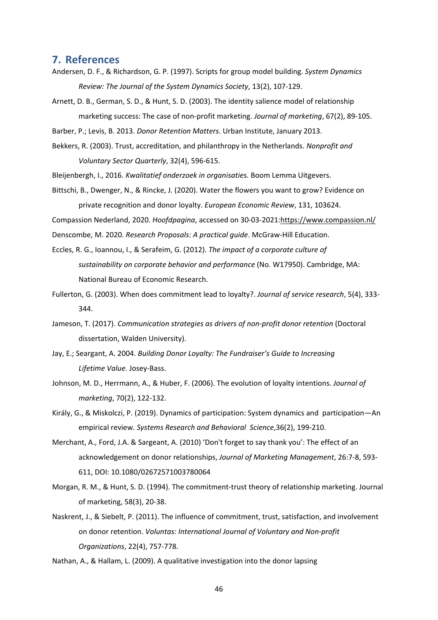# <span id="page-46-0"></span>**7. References**

- Andersen, D. F., & Richardson, G. P. (1997). Scripts for group model building. *System Dynamics Review: The Journal of the System Dynamics Society*, 13(2), 107-129.
- Arnett, D. B., German, S. D., & Hunt, S. D. (2003). The identity salience model of relationship marketing success: The case of non-profit marketing. *Journal of marketing*, 67(2), 89-105.

Barber, P.; Levis, B. 2013. *Donor Retention Matters*. Urban Institute, January 2013.

- Bekkers, R. (2003). Trust, accreditation, and philanthropy in the Netherlands. *Nonprofit and Voluntary Sector Quarterly*, 32(4), 596-615.
- Bleijenbergh, I., 2016. *Kwalitatief onderzoek in organisaties.* Boom Lemma Uitgevers.
- Bittschi, B., Dwenger, N., & Rincke, J. (2020). Water the flowers you want to grow? Evidence on private recognition and donor loyalty. *European Economic Review*, 131, 103624.

Compassion Nederland, 2020. *Hoofdpagina*, accessed on 30-03-2021[:https://www.compassion.nl/](https://www.compassion.nl/)

Denscombe, M. 2020. *Research Proposals: A practical guide*. McGraw-Hill Education.

- Eccles, R. G., Ioannou, I., & Serafeim, G. (2012). *The impact of a corporate culture of sustainability on corporate behavior and performance* (No. W17950). Cambridge, MA: National Bureau of Economic Research.
- Fullerton, G. (2003). When does commitment lead to loyalty?. *Journal of service research*, 5(4), 333- 344.
- Jameson, T. (2017). *Communication strategies as drivers of non-profit donor retention* (Doctoral dissertation, Walden University).
- Jay, E.; Seargant, A. 2004. *Building Donor Loyalty: The Fundraiser's Guide to Increasing Lifetime Value.* Josey-Bass.
- Johnson, M. D., Herrmann, A., & Huber, F. (2006). The evolution of loyalty intentions. *Journal of marketing*, 70(2), 122-132.
- Király, G., & Miskolczi, P. (2019). Dynamics of participation: System dynamics and participation—An empirical review*. Systems Research and Behavioral Science*,36(2), 199-210.
- Merchant, A., Ford, J.A. & Sargeant, A. (2010) 'Don't forget to say thank you': The effect of an acknowledgement on donor relationships, *Journal of Marketing Management*, 26:7-8, 593- 611, DOI: 10.1080/02672571003780064
- Morgan, R. M., & Hunt, S. D. (1994). The commitment-trust theory of relationship marketing. Journal of marketing, 58(3), 20-38.
- Naskrent, J., & Siebelt, P. (2011). The influence of commitment, trust, satisfaction, and involvement on donor retention. *Voluntas: International Journal of Voluntary and Non-profit Organizations*, 22(4), 757-778.

Nathan, A., & Hallam, L. (2009). A qualitative investigation into the donor lapsing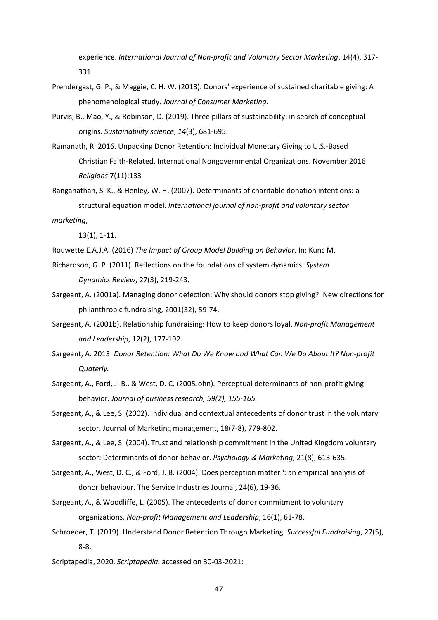experience. *International Journal of Non-profit and Voluntary Sector Marketing*, 14(4), 317- 331.

- Prendergast, G. P., & Maggie, C. H. W. (2013). Donors' experience of sustained charitable giving: A phenomenological study. *Journal of Consumer Marketing*.
- Purvis, B., Mao, Y., & Robinson, D. (2019). Three pillars of sustainability: in search of conceptual origins. *Sustainability science*, *14*(3), 681-695.
- Ramanath, R. 2016. Unpacking Donor Retention: Individual Monetary Giving to U.S.-Based Christian Faith-Related, International Nongovernmental Organizations. November 2016 *Religions* 7(11):133
- Ranganathan, S. K., & Henley, W. H. (2007). Determinants of charitable donation intentions: a structural equation model. *International journal of non-profit and voluntary sector*

*marketing*,

13(1), 1-11.

Rouwette E.A.J.A. (2016) *The Impact of Group Model Building on Behavior*. In: Kunc M.

- Richardson, G. P. (2011). Reflections on the foundations of system dynamics. *System Dynamics Review*, 27(3), 219-243.
- Sargeant, A. (2001a). Managing donor defection: Why should donors stop giving?. New directions for philanthropic fundraising, 2001(32), 59-74.
- Sargeant, A. (2001b). Relationship fundraising: How to keep donors loyal. *Non-profit Management and Leadership*, 12(2), 177-192.
- Sargeant, A. 2013. *Donor Retention: What Do We Know and What Can We Do About It? Non-profit Quaterly.*
- Sargeant, A., Ford, J. B., & West, D. C. (2005John)*.* Perceptual determinants of non-profit giving behavior. *Journal of business research, 59(2), 155-165.*
- Sargeant, A., & Lee, S. (2002). Individual and contextual antecedents of donor trust in the voluntary sector. Journal of Marketing management, 18(7-8), 779-802.
- Sargeant, A., & Lee, S. (2004). Trust and relationship commitment in the United Kingdom voluntary sector: Determinants of donor behavior. *Psychology & Marketing*, 21(8), 613-635.
- Sargeant, A., West, D. C., & Ford, J. B. (2004). Does perception matter?: an empirical analysis of donor behaviour. The Service Industries Journal, 24(6), 19-36.
- Sargeant, A., & Woodliffe, L. (2005). The antecedents of donor commitment to voluntary organizations. *Non-profit Management and Leadership*, 16(1), 61-78.
- Schroeder, T. (2019). Understand Donor Retention Through Marketing*. Successful Fundraising*, 27(5), 8-8.
- Scriptapedia, 2020. *Scriptapedia.* accessed on 30-03-2021: